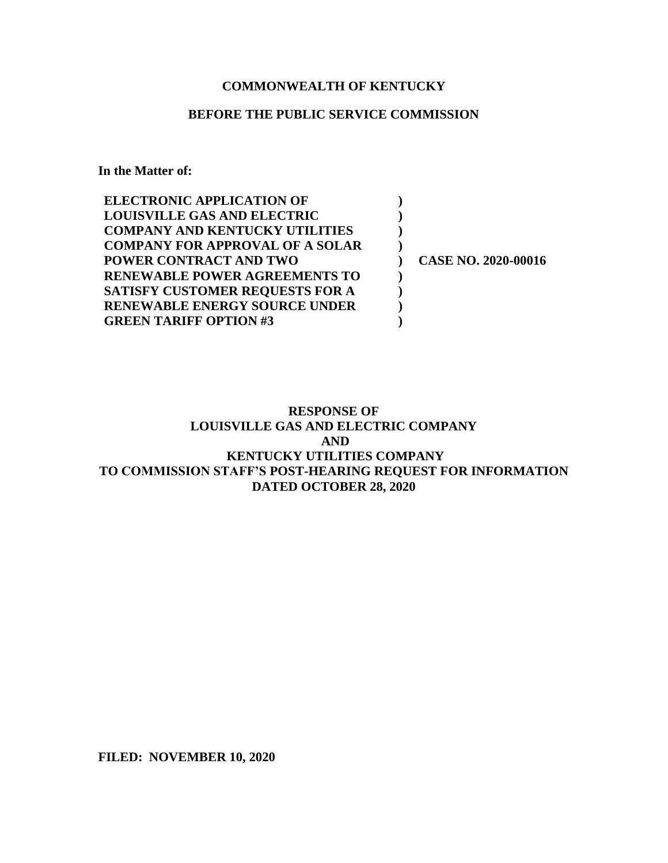# **COMMONWEALTH OF KENTUCKY**

### **BEFORE THE PUBLIC SERVICE COMMISSION**

**In the Matter of:**

| <b>ELECTRONIC APPLICATION OF</b>       |                            |
|----------------------------------------|----------------------------|
| <b>LOUISVILLE GAS AND ELECTRIC</b>     |                            |
| <b>COMPANY AND KENTUCKY UTILITIES</b>  |                            |
| <b>COMPANY FOR APPROVAL OF A SOLAR</b> |                            |
| <b>POWER CONTRACT AND TWO</b>          | <b>CASE NO. 2020-00016</b> |
| RENEWABLE POWER AGREEMENTS TO          |                            |
| <b>SATISFY CUSTOMER REQUESTS FOR A</b> |                            |
| <b>RENEWABLE ENERGY SOURCE UNDER</b>   |                            |
| <b>GREEN TARIFF OPTION #3</b>          |                            |

# **RESPONSE OF LOUISVILLE GAS AND ELECTRIC COMPANY AND KENTUCKY UTILITIES COMPANY TO COMMISSION STAFF'S POST-HEARING REQUEST FOR INFORMATION DATED OCTOBER 28, 2020**

**FILED: NOVEMBER 10, 2020**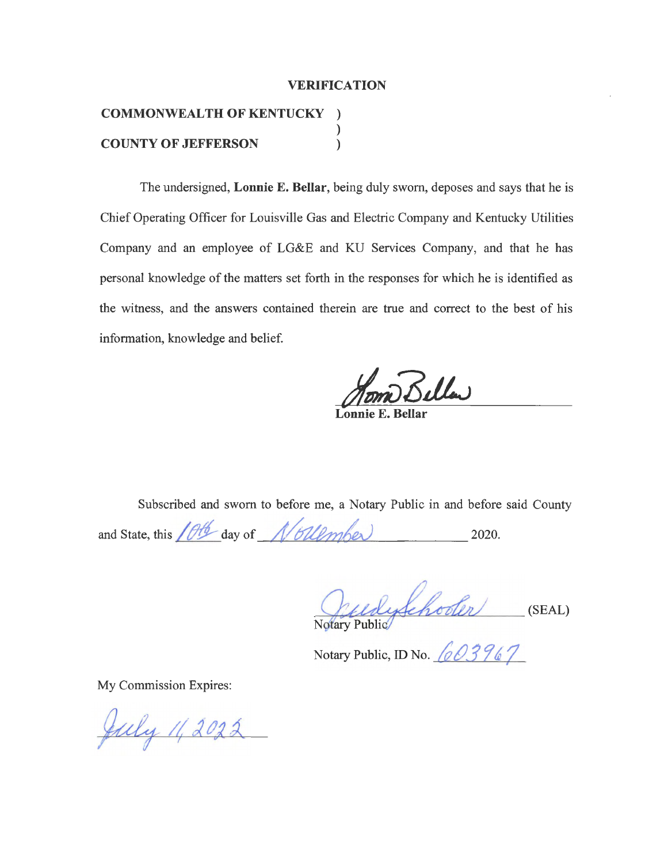### **VERIFICATION**

### **COMMONWEALTH OF KENTUCKY** ) ) **COUNTY OF JEFFERSON** )

The undersigned, **Lonnie E. Bellar,** being duly sworn, deposes and says that he is Chief Operating Officer for Louisville Gas and Electric Company and Kentucky Utilities Company and an employee of LG&E and KU Services Company, and that he has personal knowledge of the matters set forth in the responses for which he is identified as the witness, and the answers contained therein are true and correct to the best of his information, knowledge and belief.

**Lonnie E. Bellar** 

Subscribed and sworn to before me, a Notary Public in and before said County

and State, this  $10<sup>4</sup>$  day of  $\frac{N}{6}$ *ll*<sub>*l*</sub> $\frac{1}{2020}$ .

**~(1- -....... 'L,** udyschooler  $u$ lyschooler (SEAL)

Notary Public, ID No. *603967* 

My Commission Expires:

July 11, 2022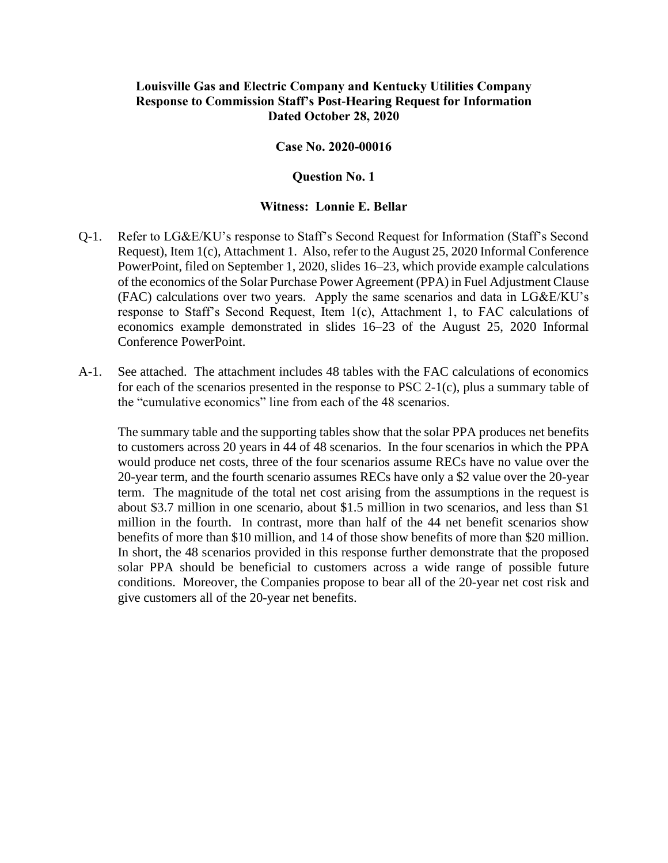# **Louisville Gas and Electric Company and Kentucky Utilities Company Response to Commission Staff's Post-Hearing Request for Information Dated October 28, 2020**

### **Case No. 2020-00016**

### **Question No. 1**

### **Witness: Lonnie E. Bellar**

- Q-1. Refer to LG&E/KU's response to Staff's Second Request for Information (Staff's Second Request), Item 1(c), Attachment 1. Also, refer to the August 25, 2020 Informal Conference PowerPoint, filed on September 1, 2020, slides 16–23, which provide example calculations of the economics of the Solar Purchase Power Agreement (PPA) in Fuel Adjustment Clause (FAC) calculations over two years. Apply the same scenarios and data in LG&E/KU's response to Staff's Second Request, Item 1(c), Attachment 1, to FAC calculations of economics example demonstrated in slides 16–23 of the August 25, 2020 Informal Conference PowerPoint.
- A-1. See attached. The attachment includes 48 tables with the FAC calculations of economics for each of the scenarios presented in the response to PSC 2-1(c), plus a summary table of the "cumulative economics" line from each of the 48 scenarios.

The summary table and the supporting tables show that the solar PPA produces net benefits to customers across 20 years in 44 of 48 scenarios. In the four scenarios in which the PPA would produce net costs, three of the four scenarios assume RECs have no value over the 20-year term, and the fourth scenario assumes RECs have only a \$2 value over the 20-year term. The magnitude of the total net cost arising from the assumptions in the request is about \$3.7 million in one scenario, about \$1.5 million in two scenarios, and less than \$1 million in the fourth. In contrast, more than half of the 44 net benefit scenarios show benefits of more than \$10 million, and 14 of those show benefits of more than \$20 million. In short, the 48 scenarios provided in this response further demonstrate that the proposed solar PPA should be beneficial to customers across a wide range of possible future conditions. Moreover, the Companies propose to bear all of the 20-year net cost risk and give customers all of the 20-year net benefits.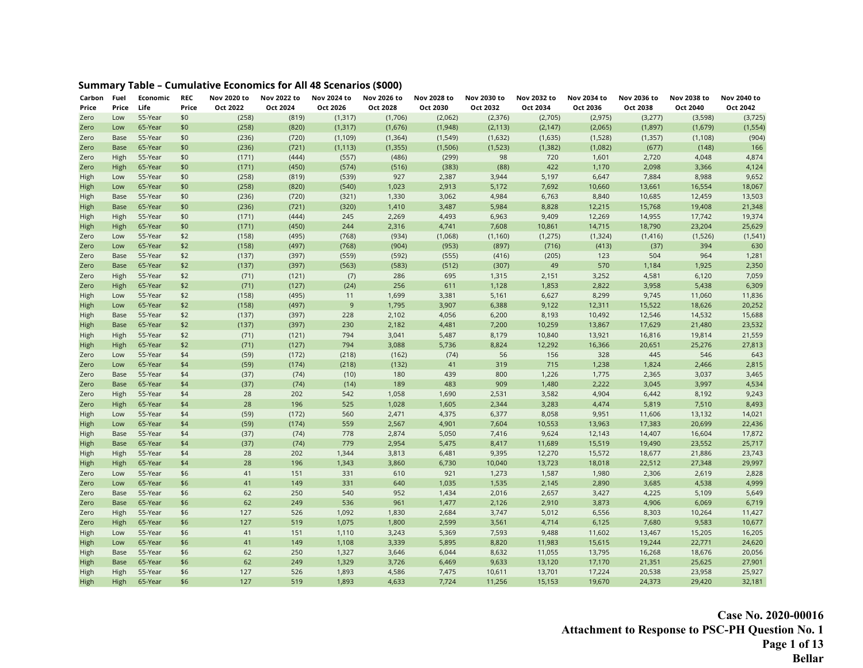# **Summary Table – Cumulative Economics for All 48 Scenarios (\$000)**

| Carbon<br>Price | Fuel<br>Price | Economic<br>Life | <b>REC</b><br>Price | Nov 2020 to<br>Oct 2022 | Nov 2022 to<br>Oct 2024 | Nov 2024 to<br>Oct 2026 | Nov 2026 to<br>Oct 2028 | Nov 2028 to<br>Oct 2030 | Nov 2030 to<br>Oct 2032 | Nov 2032 to<br>Oct 2034 | Nov 2034 to<br>Oct 2036 | Nov 2036 to<br>Oct 2038 | Nov 2038 to<br>Oct 2040 | Nov 2040 to<br>Oct 2042 |
|-----------------|---------------|------------------|---------------------|-------------------------|-------------------------|-------------------------|-------------------------|-------------------------|-------------------------|-------------------------|-------------------------|-------------------------|-------------------------|-------------------------|
| Zero            | Low           | 55-Year          | \$0                 | (258)                   | (819)                   | (1, 317)                | (1,706)                 | (2,062)                 | (2,376)                 | (2,705)                 | (2, 975)                | (3,277)                 | (3,598)                 | (3,725)                 |
| Zero            | Low           | 65-Year          | \$0                 | (258)                   | (820)                   | (1, 317)                | (1,676)                 | (1,948)                 | (2, 113)                | (2, 147)                | (2,065)                 | (1,897)                 | (1,679)                 | (1, 554)                |
| Zero            | Base          | 55-Year          | \$0                 | (236)                   | (720)                   | (1, 109)                | (1, 364)                | (1, 549)                | (1,632)                 | (1,635)                 | (1,528)                 | (1, 357)                | (1, 108)                | (904)                   |
| Zero            | <b>Base</b>   | 65-Year          | \$0                 | (236)                   | (721)                   | (1, 113)                | (1, 355)                | (1,506)                 | (1,523)                 | (1, 382)                | (1,082)                 | (677)                   | (148)                   | 166                     |
| Zero            | High          | 55-Year          | \$0                 | (171)                   | (444)                   | (557)                   | (486)                   | (299)                   | 98                      | 720                     | 1,601                   | 2,720                   | 4,048                   | 4,874                   |
| Zero            | High          | 65-Year          | \$0                 | (171)                   | (450)                   | (574)                   | (516)                   | (383)                   | (88)                    | 422                     | 1,170                   | 2,098                   | 3,366                   | 4,124                   |
| High            | Low           | 55-Year          | \$0                 | (258)                   | (819)                   | (539)                   | 927                     | 2,387                   | 3,944                   | 5,197                   | 6,647                   | 7,884                   | 8,988                   | 9,652                   |
| High            | Low           | 65-Year          | \$0                 | (258)                   | (820)                   | (540)                   | 1,023                   | 2,913                   | 5,172                   | 7,692                   | 10,660                  | 13,661                  | 16,554                  | 18,067                  |
| High            | Base          | 55-Year          | \$0                 | (236)                   | (720)                   | (321)                   | 1,330                   | 3,062                   | 4,984                   | 6,763                   | 8,840                   | 10,685                  | 12,459                  | 13,503                  |
| High            | <b>Base</b>   | 65-Year          | \$0                 | (236)                   | (721)                   | (320)                   | 1,410                   | 3,487                   | 5,984                   | 8,828                   | 12,215                  | 15,768                  | 19,408                  | 21,348                  |
| High            | High          | 55-Year          | \$0                 | (171)                   | (444)                   | 245                     | 2,269                   | 4,493                   | 6,963                   | 9,409                   | 12,269                  | 14,955                  | 17,742                  | 19,374                  |
| High            | High          | 65-Year          | \$0                 | (171)                   | (450)                   | 244                     | 2,316                   | 4,741                   | 7,608                   | 10,861                  | 14,715                  | 18,790                  | 23,204                  | 25,629                  |
| Zero            | Low           | 55-Year          | \$2                 | (158)                   | (495)                   | (768)                   | (934)                   | (1,068)                 | (1, 160)                | (1, 275)                | (1, 324)                | (1, 416)                | (1,526)                 | (1, 541)                |
| Zero            | Low           | 65-Year          | \$2                 | (158)                   | (497)                   | (768)                   | (904)                   | (953)                   | (897)                   | (716)                   | (413)                   | (37)                    | 394                     | 630                     |
| Zero            | Base          | 55-Year          | \$2                 | (137)                   | (397)                   | (559)                   | (592)                   | (555)                   | (416)                   | (205)                   | 123                     | 504                     | 964                     | 1,281                   |
| Zero            | <b>Base</b>   | 65-Year          | \$2                 | (137)                   | (397)                   | (563)                   | (583)                   | (512)                   | (307)                   | 49                      | 570                     | 1,184                   | 1,925                   | 2,350                   |
| Zero            | High          | 55-Year          | \$2                 | (71)                    | (121)                   | (7)                     | 286                     | 695                     | 1,315                   | 2,151                   | 3,252                   | 4,581                   | 6,120                   | 7,059                   |
| Zero            | High          | 65-Year          | \$2                 | (71)                    | (127)                   | (24)                    | 256                     | 611                     | 1,128                   | 1,853                   | 2,822                   | 3,958                   | 5,438                   | 6,309                   |
| High            | Low           | 55-Year          | \$2                 | (158)                   | (495)                   | 11                      | 1,699                   | 3,381                   | 5,161                   | 6,627                   | 8,299                   | 9,745                   | 11,060                  | 11,836                  |
| High            | Low           | 65-Year          | \$2                 | (158)                   | (497)                   | $\overline{9}$          | 1,795                   | 3,907                   | 6,388                   | 9,122                   | 12,311                  | 15,522                  | 18,626                  | 20,252                  |
| High            | Base          | 55-Year          | \$2                 | (137)                   | (397)                   | 228                     | 2,102                   | 4,056                   | 6,200                   | 8,193                   | 10,492                  | 12,546                  | 14,532                  | 15,688                  |
| High            | <b>Base</b>   | 65-Year          | \$2                 | (137)                   | (397)                   | 230                     | 2,182                   | 4,481                   | 7,200                   | 10,259                  | 13,867                  | 17,629                  | 21,480                  | 23,532                  |
| High            | High          | 55-Year          | \$2                 | (71)                    | (121)                   | 794                     | 3,041                   | 5,487                   | 8,179                   | 10,840                  | 13,921                  | 16,816                  | 19,814                  | 21,559                  |
| High            | High          | 65-Year          | \$2                 | (71)                    | (127)                   | 794                     | 3,088                   | 5,736                   | 8,824                   | 12,292                  | 16,366                  | 20,651                  | 25,276                  | 27,813                  |
| Zero            | Low           | 55-Year          | \$4                 | (59)                    | (172)                   | (218)                   | (162)                   | (74)                    | 56                      | 156                     | 328                     | 445                     | 546                     | 643                     |
| Zero            | Low           | 65-Year          | \$4                 | (59)                    | (174)                   | (218)                   | (132)                   | $41$                    | 319                     | 715                     | 1,238                   | 1,824                   | 2,466                   | 2,815                   |
| Zero            | Base          | 55-Year          | \$4                 | (37)                    | (74)                    | (10)                    | 180                     | 439                     | 800                     | 1,226                   | 1,775                   | 2,365                   | 3,037                   | 3,465                   |
| Zero            | <b>Base</b>   | 65-Year          | \$4                 | (37)                    | (74)                    | (14)                    | 189                     | 483                     | 909                     | 1,480                   | 2,222                   | 3,045                   | 3,997                   | 4,534                   |
| Zero            | High          | 55-Year          | \$4                 | 28                      | 202                     | 542                     | 1,058                   | 1,690                   | 2,531                   | 3,582                   | 4,904                   | 6,442                   | 8,192                   | 9,243                   |
| Zero            | High          | 65-Year          | \$4                 | 28                      | 196                     | 525                     | 1,028                   | 1,605                   | 2,344                   | 3,283                   | 4,474                   | 5,819                   | 7,510                   | 8,493                   |
| High            | Low           | 55-Year          | \$4                 | (59)                    | (172)                   | 560                     | 2,471                   | 4,375                   | 6,377                   | 8,058                   | 9,951                   | 11,606                  | 13,132                  | 14,021                  |
| High            | Low           | 65-Year          | \$4                 | (59)                    | (174)                   | 559                     | 2,567                   | 4,901                   | 7,604                   | 10,553                  | 13,963                  | 17,383                  | 20,699                  | 22,436                  |
| High            | Base          | 55-Year          | \$4                 | (37)                    | (74)                    | 778                     | 2,874                   | 5,050                   | 7,416                   | 9,624                   | 12,143                  | 14,407                  | 16,604                  | 17,872                  |
| High            | <b>Base</b>   | 65-Year          | \$4                 | (37)                    | (74)                    | 779                     | 2,954                   | 5,475                   | 8,417                   | 11,689                  | 15,519                  | 19,490                  | 23,552                  | 25,717                  |
| High            | High          | 55-Year          | \$4                 | 28                      | 202                     | 1,344                   | 3,813                   | 6,481                   | 9,395                   | 12,270                  | 15,572                  | 18,677                  | 21,886                  | 23,743                  |
| High            | High          | 65-Year          | \$4                 | 28                      | 196                     | 1,343                   | 3,860                   | 6,730                   | 10,040                  | 13,723                  | 18,018                  | 22,512                  | 27,348                  | 29,997                  |
| Zero            | Low           | 55-Year          | \$6                 | 41                      | 151                     | 331                     | 610                     | 921                     | 1,273                   | 1,587                   | 1,980                   | 2,306                   | 2,619                   | 2,828                   |
| Zero            | Low           | 65-Year          | \$6                 | 41                      | 149                     | 331                     | 640                     | 1,035                   | 1,535                   | 2,145                   | 2,890                   | 3,685                   | 4,538                   | 4,999                   |
| Zero            | Base          | 55-Year          | \$6                 | 62                      | 250                     | 540                     | 952                     | 1,434                   | 2,016                   | 2,657                   | 3,427                   | 4,225                   | 5,109                   | 5,649                   |
| Zero            | Base          | 65-Year          | \$6                 | 62                      | 249                     | 536                     | 961                     | 1,477                   | 2,126                   | 2,910                   | 3,873                   | 4,906                   | 6,069                   | 6,719                   |
| Zero            | High          | 55-Year          | \$6                 | 127                     | 526                     | 1,092                   | 1,830                   | 2,684                   | 3,747                   | 5,012                   | 6,556                   | 8,303                   | 10,264                  | 11,427                  |
| Zero            | High          | 65-Year          | \$6                 | 127                     | 519                     | 1,075                   | 1,800                   | 2,599                   | 3,561                   | 4,714                   | 6,125                   | 7,680                   | 9,583                   | 10,677                  |
| High            | Low           | 55-Year          | \$6                 | 41                      | 151                     | 1,110                   | 3,243                   | 5,369                   | 7,593                   | 9,488                   | 11,602                  | 13,467                  | 15,205                  | 16,205                  |
| High            | Low           | 65-Year          | \$6                 | 41                      | 149                     | 1,108                   | 3,339                   | 5,895                   | 8,820                   | 11,983                  | 15,615                  | 19,244                  | 22,771                  | 24,620                  |
| High            | Base          | 55-Year          | \$6                 | 62                      | 250                     | 1,327                   | 3,646                   | 6,044                   | 8,632                   | 11,055                  | 13,795                  | 16,268                  | 18,676                  | 20,056                  |
| High            | <b>Base</b>   | 65-Year          | \$6                 | 62                      | 249                     | 1,329                   | 3,726                   | 6,469                   | 9,633                   | 13,120                  | 17,170                  | 21,351                  | 25,625                  | 27,901                  |
| High            | High          | 55-Year          | \$6                 | 127                     | 526                     | 1,893                   | 4,586                   | 7,475                   | 10,611                  | 13,701                  | 17,224                  | 20,538                  | 23,958                  | 25,927                  |
| <b>High</b>     | High          | 65-Year          | \$6                 | 127                     | 519                     | 1,893                   | 4,633                   | 7,724                   | 11,256                  | 15,153                  | 19,670                  | 24,373                  | 29,420                  | 32,181                  |

**Case No. 2020-00016 Attachment to Response to PSC-PH Question No. 1 Page 1 of 13 Bellar**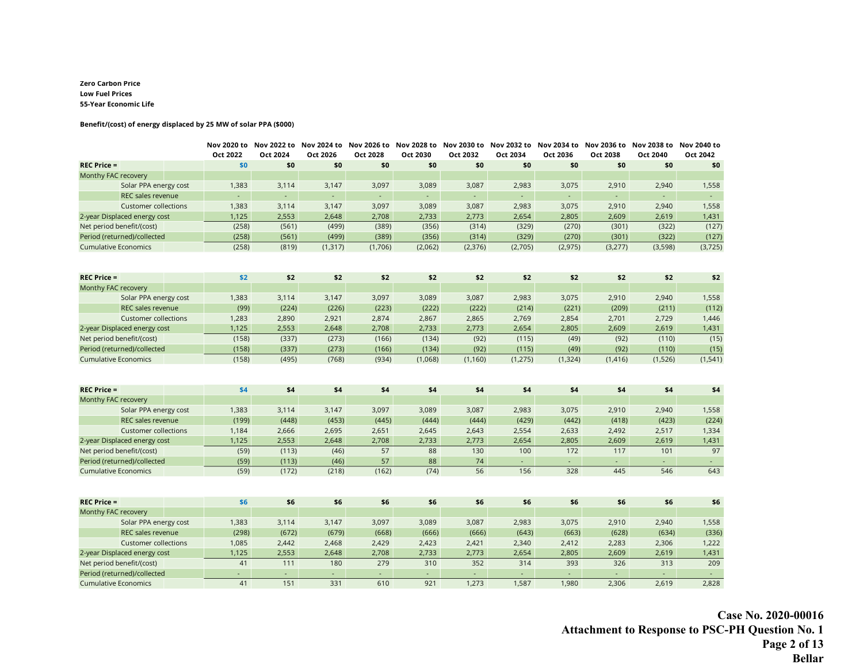#### **Zero Carbon Price Low Fuel Prices 55-Year Economic Life**

#### **Benefit/(cost) of energy displaced by 25 MW of solar PPA (\$000)**

|                              | Oct 2022       | Nov 2020 to Nov 2022 to Nov 2024 to Nov 2026 to Nov 2028 to Nov 2030 to Nov 2032 to Nov 2034 to Nov 2036 to Nov 2038 to Nov 2040 to<br>Oct 2024 | Oct 2026 | Oct 2028         | Oct 2030 | Oct 2032 | Oct 2034 | Oct 2036       | Oct 2038       | Oct 2040 | Oct 2042            |
|------------------------------|----------------|-------------------------------------------------------------------------------------------------------------------------------------------------|----------|------------------|----------|----------|----------|----------------|----------------|----------|---------------------|
| $REC$ Price =                | \$0            | \$0                                                                                                                                             | \$0      | \$0              | \$0      | \$0      | \$0      | \$0            | \$0            | \$0      | \$0                 |
| Monthy FAC recovery          |                |                                                                                                                                                 |          |                  |          |          |          |                |                |          |                     |
| Solar PPA energy cost        | 1,383          | 3,114                                                                                                                                           | 3,147    | 3,097            | 3,089    | 3,087    | 2,983    | 3,075          | 2,910          | 2,940    | 1,558               |
| REC sales revenue            |                | ÷.                                                                                                                                              | ÷,       | $\Box$           | ÷,       |          | $\Box$   | $\blacksquare$ | $\blacksquare$ |          | $\omega_{\rm{eff}}$ |
| <b>Customer collections</b>  | 1,383          | 3,114                                                                                                                                           | 3,147    | 3,097            | 3,089    | 3,087    | 2,983    | 3,075          | 2,910          | 2,940    | 1,558               |
| 2-year Displaced energy cost | 1,125          | 2,553                                                                                                                                           | 2,648    | 2,708            | 2,733    | 2,773    | 2,654    | 2,805          | 2,609          | 2,619    | 1,431               |
| Net period benefit/(cost)    | (258)          | (561)                                                                                                                                           | (499)    | (389)            | (356)    | (314)    | (329)    | (270)          | (301)          | (322)    | (127)               |
| Period (returned)/collected  | (258)          | (561)                                                                                                                                           | (499)    | (389)            | (356)    | (314)    | (329)    | (270)          | (301)          | (322)    | (127)               |
| <b>Cumulative Economics</b>  | (258)          | (819)                                                                                                                                           | (1, 317) | (1,706)          | (2,062)  | (2, 376) | (2,705)  | (2, 975)       | (3,277)        | (3,598)  | (3,725)             |
|                              |                |                                                                                                                                                 |          |                  |          |          |          |                |                |          |                     |
| <b>REC Price =</b>           | \$2            | \$2                                                                                                                                             | \$2      | \$2              | \$2      | \$2      | \$2      | \$2            | \$2            | \$2      | \$2                 |
| Monthy FAC recovery          |                |                                                                                                                                                 |          |                  |          |          |          |                |                |          |                     |
| Solar PPA energy cost        | 1,383          | 3,114                                                                                                                                           | 3,147    | 3,097            | 3,089    | 3,087    | 2,983    | 3,075          | 2,910          | 2,940    | 1,558               |
| REC sales revenue            | (99)           | (224)                                                                                                                                           | (226)    | (223)            | (222)    | (222)    | (214)    | (221)          | (209)          | (211)    | (112)               |
| <b>Customer collections</b>  | 1,283          | 2,890                                                                                                                                           | 2,921    | 2,874            | 2,867    | 2,865    | 2,769    | 2,854          | 2,701          | 2,729    | 1,446               |
| 2-year Displaced energy cost | 1,125          | 2,553                                                                                                                                           | 2,648    | 2,708            | 2,733    | 2,773    | 2,654    | 2,805          | 2,609          | 2,619    | 1,431               |
| Net period benefit/(cost)    | (158)          | (337)                                                                                                                                           | (273)    | (166)            | (134)    | (92)     | (115)    | (49)           | (92)           | (110)    | (15)                |
| Period (returned)/collected  | (158)          | (337)                                                                                                                                           | (273)    | (166)            | (134)    | (92)     | (115)    | (49)           | (92)           | (110)    | (15)                |
| <b>Cumulative Economics</b>  | (158)          | (495)                                                                                                                                           | (768)    | (934)            | (1,068)  | (1, 160) | (1, 275) | (1, 324)       | (1, 416)       | (1,526)  | (1, 541)            |
|                              |                |                                                                                                                                                 |          |                  |          |          |          |                |                |          |                     |
| <b>REC Price =</b>           | \$4            | \$4                                                                                                                                             | \$4      | \$4              | \$4      | \$4      | \$4      | \$4            | \$4            | \$4      | \$4                 |
| Monthy FAC recovery          |                |                                                                                                                                                 |          |                  |          |          |          |                |                |          |                     |
| Solar PPA energy cost        | 1,383          | 3,114                                                                                                                                           | 3,147    | 3,097            | 3,089    | 3,087    | 2,983    | 3,075          | 2,910          | 2,940    | 1,558               |
| <b>REC sales revenue</b>     | (199)          | (448)                                                                                                                                           | (453)    | (445)            | (444)    | (444)    | (429)    | (442)          | (418)          | (423)    | (224)               |
| <b>Customer collections</b>  | 1,184          | 2,666                                                                                                                                           | 2,695    | 2,651            | 2,645    | 2,643    | 2,554    | 2,633          | 2,492          | 2,517    | 1,334               |
| 2-year Displaced energy cost | 1,125          | 2,553                                                                                                                                           | 2,648    | 2,708            | 2,733    | 2,773    | 2,654    | 2,805          | 2,609          | 2,619    | 1,431               |
| Net period benefit/(cost)    | (59)           | (113)                                                                                                                                           | (46)     | 57               | 88       | 130      | 100      | 172            | 117            | 101      | 97                  |
| Period (returned)/collected  | (59)           | (113)                                                                                                                                           | (46)     | 57               | 88       | 74       |          | ¥.             |                |          |                     |
| <b>Cumulative Economics</b>  | (59)           | (172)                                                                                                                                           | (218)    | (162)            | (74)     | 56       | 156      | 328            | 445            | 546      | 643                 |
|                              |                |                                                                                                                                                 |          |                  |          |          |          |                |                |          |                     |
| $REC$ Price =                | \$6            | \$6                                                                                                                                             | \$6      | \$6              | \$6      | \$6      | \$6      | \$6            | \$6            | \$6      | \$6                 |
| Monthy FAC recovery          |                |                                                                                                                                                 |          |                  |          |          |          |                |                |          |                     |
| Solar PPA energy cost        | 1,383          | 3,114                                                                                                                                           | 3,147    | 3,097            | 3,089    | 3,087    | 2,983    | 3,075          | 2,910          | 2,940    | 1,558               |
| REC sales revenue            | (298)          | (672)                                                                                                                                           | (679)    | (668)            | (666)    | (666)    | (643)    | (663)          | (628)          | (634)    | (336)               |
| <b>Customer collections</b>  | 1,085          | 2,442                                                                                                                                           | 2,468    | 2,429            | 2,423    | 2,421    | 2,340    | 2,412          | 2,283          | 2,306    | 1,222               |
| 2-year Displaced energy cost | 1,125          | 2,553                                                                                                                                           | 2,648    | 2,708            | 2,733    | 2,773    | 2,654    | 2,805          | 2,609          | 2,619    | 1,431               |
| Net period benefit/(cost)    | 41             | 111                                                                                                                                             | 180      | 279              | 310      | 352      | 314      | 393            | 326            | 313      | 209                 |
| Period (returned)/collected  | $\blacksquare$ | ÷.                                                                                                                                              | ÷.       | $\omega_{\rm c}$ | $\omega$ |          | ÷.       |                | ÷.             |          | $\Delta \sim 1$     |
| <b>Cumulative Economics</b>  | 41             | 151                                                                                                                                             | 331      | 610              | 921      | 1,273    | 1,587    | 1,980          | 2,306          | 2,619    | 2,828               |

**Case No. 2020-00016 Attachment to Response to PSC-PH Question No. 1 Page 2 of 13 Bellar**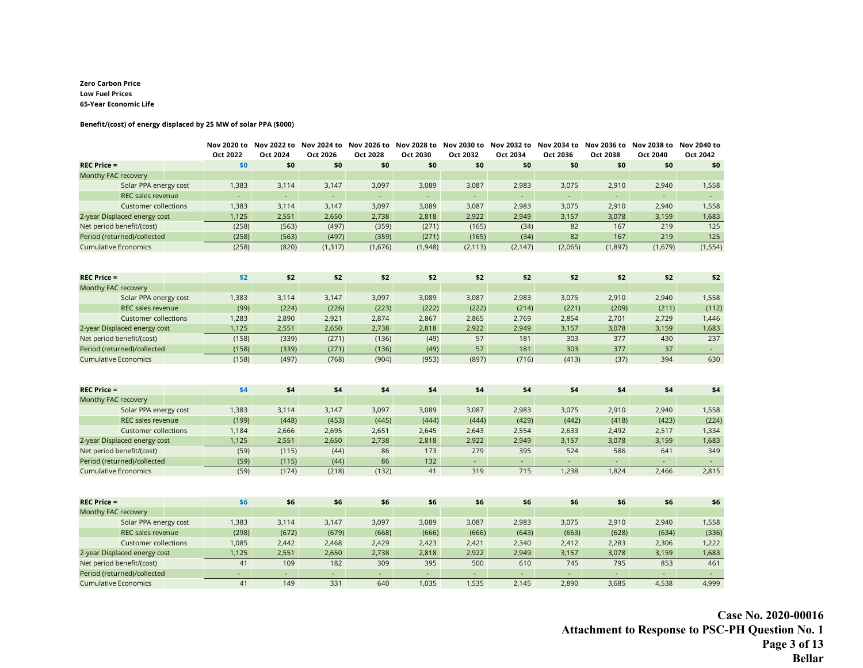#### **Zero Carbon Price Low Fuel Prices 65-Year Economic Life**

#### **Benefit/(cost) of energy displaced by 25 MW of solar PPA (\$000)**

|                              | Oct 2022 | Nov 2020 to Nov 2022 to Nov 2024 to Nov 2026 to Nov 2028 to Nov 2030 to Nov 2032 to Nov 2034 to Nov 2036 to Nov 2038 to Nov 2040 to<br>Oct 2024 | Oct 2026 | Oct 2028         | Oct 2030                    | Oct 2032 | Oct 2034 | Oct 2036         | Oct 2038                 | Oct 2040 | Oct 2042            |
|------------------------------|----------|-------------------------------------------------------------------------------------------------------------------------------------------------|----------|------------------|-----------------------------|----------|----------|------------------|--------------------------|----------|---------------------|
| $REC$ Price =                | \$0      | \$0                                                                                                                                             | \$0      | \$0              | \$0                         | \$0      | \$0      | \$0              | \$0                      | \$0      | \$0                 |
| Monthy FAC recovery          |          |                                                                                                                                                 |          |                  |                             |          |          |                  |                          |          |                     |
| Solar PPA energy cost        | 1,383    | 3,114                                                                                                                                           | 3,147    | 3,097            | 3,089                       | 3,087    | 2,983    | 3,075            | 2,910                    | 2,940    | 1,558               |
| <b>REC sales revenue</b>     |          | $\omega$                                                                                                                                        | L,       | ÷.               | $\mathcal{L}_{\mathcal{A}}$ |          | $\Box$   | $\omega$         | $\overline{\phantom{a}}$ |          | $\sim$              |
| <b>Customer collections</b>  | 1,383    | 3,114                                                                                                                                           | 3,147    | 3,097            | 3,089                       | 3,087    | 2,983    | 3,075            | 2,910                    | 2,940    | 1,558               |
| 2-year Displaced energy cost | 1,125    | 2,551                                                                                                                                           | 2,650    | 2,738            | 2,818                       | 2,922    | 2,949    | 3,157            | 3,078                    | 3,159    | 1,683               |
| Net period benefit/(cost)    | (258)    | (563)                                                                                                                                           | (497)    | (359)            | (271)                       | (165)    | (34)     | 82               | 167                      | 219      | 125                 |
| Period (returned)/collected  | (258)    | (563)                                                                                                                                           | (497)    | (359)            | (271)                       | (165)    | (34)     | 82               | 167                      | 219      | 125                 |
| <b>Cumulative Economics</b>  | (258)    | (820)                                                                                                                                           | (1, 317) | (1,676)          | (1,948)                     | (2, 113) | (2, 147) | (2,065)          | (1,897)                  | (1,679)  | (1, 554)            |
|                              |          |                                                                                                                                                 |          |                  |                             |          |          |                  |                          |          |                     |
| <b>REC Price =</b>           | \$2      | \$2                                                                                                                                             | \$2      | \$2              | \$2                         | \$2      | \$2      | \$2              | \$2                      | \$2      | \$2                 |
| Monthy FAC recovery          |          |                                                                                                                                                 |          |                  |                             |          |          |                  |                          |          |                     |
| Solar PPA energy cost        | 1,383    | 3,114                                                                                                                                           | 3,147    | 3,097            | 3,089                       | 3,087    | 2,983    | 3,075            | 2,910                    | 2,940    | 1,558               |
| <b>REC sales revenue</b>     | (99)     | (224)                                                                                                                                           | (226)    | (223)            | (222)                       | (222)    | (214)    | (221)            | (209)                    | (211)    | (112)               |
| <b>Customer collections</b>  | 1,283    | 2,890                                                                                                                                           | 2,921    | 2,874            | 2,867                       | 2,865    | 2,769    | 2,854            | 2,701                    | 2,729    | 1,446               |
| 2-year Displaced energy cost | 1,125    | 2,551                                                                                                                                           | 2,650    | 2,738            | 2,818                       | 2,922    | 2,949    | 3,157            | 3,078                    | 3,159    | 1,683               |
| Net period benefit/(cost)    | (158)    | (339)                                                                                                                                           | (271)    | (136)            | (49)                        | 57       | 181      | 303              | 377                      | 430      | 237                 |
| Period (returned)/collected  | (158)    | (339)                                                                                                                                           | (271)    | (136)            | (49)                        | 57       | 181      | 303              | 377                      | 37       | $\sim$              |
| <b>Cumulative Economics</b>  | (158)    | (497)                                                                                                                                           | (768)    | (904)            | (953)                       | (897)    | (716)    | (413)            | (37)                     | 394      | 630                 |
|                              |          |                                                                                                                                                 |          |                  |                             |          |          |                  |                          |          |                     |
| <b>REC Price =</b>           | \$4      | \$4                                                                                                                                             | \$4      | \$4              | \$4                         | \$4      | \$4      | \$4              | \$4                      | \$4      | \$4                 |
| Monthy FAC recovery          |          |                                                                                                                                                 |          |                  |                             |          |          |                  |                          |          |                     |
| Solar PPA energy cost        | 1,383    | 3,114                                                                                                                                           | 3,147    | 3,097            | 3,089                       | 3,087    | 2,983    | 3,075            | 2,910                    | 2,940    | 1,558               |
| <b>REC sales revenue</b>     | (199)    | (448)                                                                                                                                           | (453)    | (445)            | (444)                       | (444)    | (429)    | (442)            | (418)                    | (423)    | (224)               |
| <b>Customer collections</b>  | 1,184    | 2,666                                                                                                                                           | 2,695    | 2,651            | 2,645                       | 2,643    | 2,554    | 2,633            | 2,492                    | 2,517    | 1,334               |
| 2-year Displaced energy cost | 1,125    | 2,551                                                                                                                                           | 2,650    | 2,738            | 2,818                       | 2,922    | 2,949    | 3,157            | 3,078                    | 3,159    | 1,683               |
| Net period benefit/(cost)    | (59)     | (115)                                                                                                                                           | (44)     | 86               | 173                         | 279      | 395      | 524              | 586                      | 641      | 349                 |
| Period (returned)/collected  | (59)     | (115)                                                                                                                                           | (44)     | 86               | 132                         |          | ÷.       | $\omega_{\rm c}$ | $\blacksquare$           |          | $\sim$              |
| <b>Cumulative Economics</b>  | (59)     | (174)                                                                                                                                           | (218)    | (132)            | 41                          | 319      | 715      | 1,238            | 1,824                    | 2,466    | 2,815               |
|                              |          |                                                                                                                                                 |          |                  |                             |          |          |                  |                          |          |                     |
| $REC$ Price =                | \$6      | \$6                                                                                                                                             | \$6      | \$6              | \$6                         | \$6      | \$6      | \$6              | \$6                      | \$6      | \$6                 |
| Monthy FAC recovery          |          |                                                                                                                                                 |          |                  |                             |          |          |                  |                          |          |                     |
| Solar PPA energy cost        | 1,383    | 3,114                                                                                                                                           | 3,147    | 3,097            | 3,089                       | 3,087    | 2,983    | 3,075            | 2,910                    | 2,940    | 1,558               |
| REC sales revenue            | (298)    | (672)                                                                                                                                           | (679)    | (668)            | (666)                       | (666)    | (643)    | (663)            | (628)                    | (634)    | (336)               |
| <b>Customer collections</b>  | 1,085    | 2,442                                                                                                                                           | 2,468    | 2,429            | 2,423                       | 2,421    | 2,340    | 2,412            | 2,283                    | 2,306    | 1,222               |
| 2-year Displaced energy cost | 1,125    | 2,551                                                                                                                                           | 2,650    | 2,738            | 2,818                       | 2,922    | 2,949    | 3,157            | 3,078                    | 3,159    | 1,683               |
| Net period benefit/(cost)    | 41       | 109                                                                                                                                             | 182      | 309              | 395                         | 500      | 610      | 745              | 795                      | 853      | 461                 |
| Period (returned)/collected  | ÷.       | $\omega$                                                                                                                                        | $\omega$ | $\omega_{\rm c}$ | ÷.                          |          | ÷.       |                  | ÷.                       |          | $\omega_{\rm{eff}}$ |
| <b>Cumulative Economics</b>  | 41       | 149                                                                                                                                             | 331      | 640              | 1,035                       | 1,535    | 2,145    | 2,890            | 3,685                    | 4,538    | 4,999               |

**Case No. 2020-00016 Attachment to Response to PSC-PH Question No. 1 Page 3 of 13 Bellar**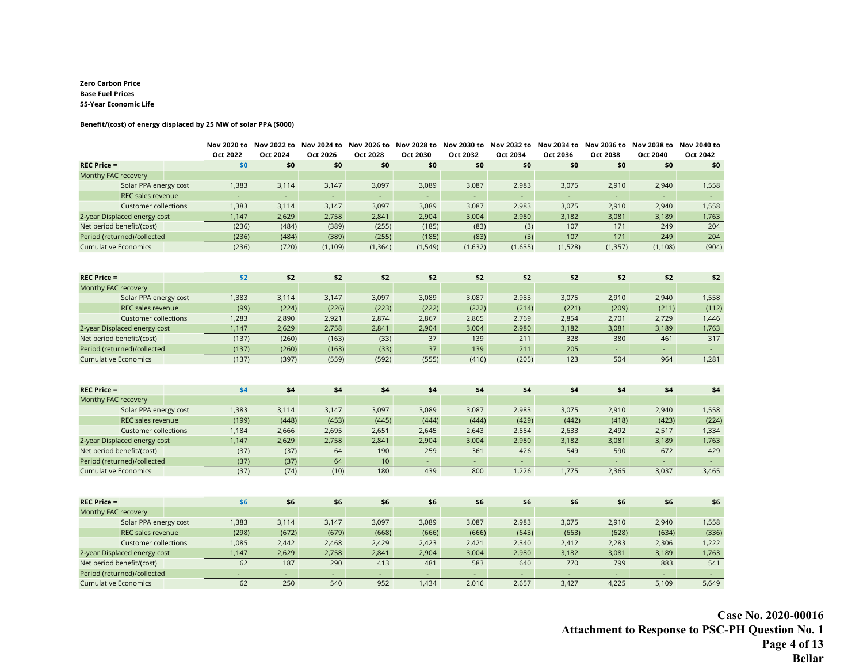#### **Zero Carbon Price Base Fuel Prices 55-Year Economic Life**

#### **Benefit/(cost) of energy displaced by 25 MW of solar PPA (\$000)**

|                              | Oct 2022       | Nov 2020 to Nov 2022 to Nov 2024 to Nov 2026 to Nov 2028 to Nov 2030 to Nov 2032 to Nov 2034 to Nov 2036 to Nov 2038 to Nov 2040 to<br>Oct 2024 | Oct 2026 | Oct 2028 | Oct 2030                 | Oct 2032 | Oct 2034 | Oct 2036                    | Oct 2038                 | Oct 2040 | Oct 2042            |
|------------------------------|----------------|-------------------------------------------------------------------------------------------------------------------------------------------------|----------|----------|--------------------------|----------|----------|-----------------------------|--------------------------|----------|---------------------|
| $REC$ Price =                | \$0            | \$0                                                                                                                                             | \$0      | \$0      | \$0                      | \$0      | \$0      | \$0                         | \$0                      | \$0      | \$0                 |
| Monthy FAC recovery          |                |                                                                                                                                                 |          |          |                          |          |          |                             |                          |          |                     |
| Solar PPA energy cost        | 1,383          | 3,114                                                                                                                                           | 3,147    | 3,097    | 3,089                    | 3,087    | 2,983    | 3,075                       | 2,910                    | 2,940    | 1,558               |
| REC sales revenue            |                | $\overline{\phantom{a}}$                                                                                                                        | ÷,       | ÷.       | $\overline{\phantom{a}}$ |          | ÷,       | $\mathcal{L}_{\mathcal{A}}$ | $\overline{\phantom{a}}$ |          | $\omega_{\rm{eff}}$ |
| <b>Customer collections</b>  | 1,383          | 3,114                                                                                                                                           | 3,147    | 3,097    | 3,089                    | 3,087    | 2,983    | 3,075                       | 2,910                    | 2,940    | 1,558               |
| 2-year Displaced energy cost | 1,147          | 2,629                                                                                                                                           | 2,758    | 2,841    | 2,904                    | 3,004    | 2,980    | 3,182                       | 3,081                    | 3,189    | 1,763               |
| Net period benefit/(cost)    | (236)          | (484)                                                                                                                                           | (389)    | (255)    | (185)                    | (83)     | (3)      | 107                         | 171                      | 249      | 204                 |
| Period (returned)/collected  | (236)          | (484)                                                                                                                                           | (389)    | (255)    | (185)                    | (83)     | (3)      | 107                         | 171                      | 249      | 204                 |
| <b>Cumulative Economics</b>  | (236)          | (720)                                                                                                                                           | (1, 109) | (1, 364) | (1, 549)                 | (1,632)  | (1,635)  | (1,528)                     | (1, 357)                 | (1, 108) | (904)               |
|                              |                |                                                                                                                                                 |          |          |                          |          |          |                             |                          |          |                     |
| <b>REC Price =</b>           | \$2            | \$2                                                                                                                                             | \$2      | \$2      | \$2                      | \$2      | \$2      | \$2                         | \$2                      | \$2      | \$2                 |
| Monthy FAC recovery          |                |                                                                                                                                                 |          |          |                          |          |          |                             |                          |          |                     |
| Solar PPA energy cost        | 1,383          | 3,114                                                                                                                                           | 3,147    | 3,097    | 3,089                    | 3,087    | 2,983    | 3,075                       | 2,910                    | 2,940    | 1,558               |
| REC sales revenue            | (99)           | (224)                                                                                                                                           | (226)    | (223)    | (222)                    | (222)    | (214)    | (221)                       | (209)                    | (211)    | (112)               |
| <b>Customer collections</b>  | 1,283          | 2,890                                                                                                                                           | 2,921    | 2,874    | 2,867                    | 2,865    | 2,769    | 2,854                       | 2,701                    | 2,729    | 1,446               |
| 2-year Displaced energy cost | 1,147          | 2,629                                                                                                                                           | 2,758    | 2,841    | 2,904                    | 3,004    | 2,980    | 3,182                       | 3,081                    | 3,189    | 1,763               |
| Net period benefit/(cost)    | (137)          | (260)                                                                                                                                           | (163)    | (33)     | 37                       | 139      | 211      | 328                         | 380                      | 461      | 317                 |
| Period (returned)/collected  | (137)          | (260)                                                                                                                                           | (163)    | (33)     | 37                       | 139      | 211      | 205                         | $\sim$                   | $\sim$   | $\omega_{\rm c}$    |
| <b>Cumulative Economics</b>  | (137)          | (397)                                                                                                                                           | (559)    | (592)    | (555)                    | (416)    | (205)    | 123                         | 504                      | 964      | 1,281               |
|                              |                |                                                                                                                                                 |          |          |                          |          |          |                             |                          |          |                     |
| <b>REC Price =</b>           | \$4            | \$4                                                                                                                                             | \$4      | \$4      | \$4                      | \$4      | \$4      | \$4                         | \$4                      | \$4      | \$4                 |
| Monthy FAC recovery          |                |                                                                                                                                                 |          |          |                          |          |          |                             |                          |          |                     |
| Solar PPA energy cost        | 1,383          | 3,114                                                                                                                                           | 3,147    | 3,097    | 3,089                    | 3,087    | 2,983    | 3,075                       | 2,910                    | 2,940    | 1,558               |
| <b>REC sales revenue</b>     | (199)          | (448)                                                                                                                                           | (453)    | (445)    | (444)                    | (444)    | (429)    | (442)                       | (418)                    | (423)    | (224)               |
| <b>Customer collections</b>  | 1,184          | 2,666                                                                                                                                           | 2,695    | 2,651    | 2,645                    | 2,643    | 2,554    | 2,633                       | 2,492                    | 2,517    | 1,334               |
| 2-year Displaced energy cost | 1,147          | 2,629                                                                                                                                           | 2,758    | 2,841    | 2,904                    | 3,004    | 2,980    | 3,182                       | 3,081                    | 3,189    | 1,763               |
| Net period benefit/(cost)    | (37)           | (37)                                                                                                                                            | 64       | 190      | 259                      | 361      | 426      | 549                         | 590                      | 672      | 429                 |
| Period (returned)/collected  | (37)           | (37)                                                                                                                                            | 64       | 10       |                          |          |          |                             |                          |          |                     |
| <b>Cumulative Economics</b>  | (37)           | (74)                                                                                                                                            | (10)     | 180      | 439                      | 800      | 1,226    | 1,775                       | 2,365                    | 3,037    | 3,465               |
|                              |                |                                                                                                                                                 |          |          |                          |          |          |                             |                          |          |                     |
| $REC$ Price =                | \$6            | \$6                                                                                                                                             | \$6      | \$6      | \$6                      | \$6      | \$6      | \$6                         | \$6                      | \$6      | \$6                 |
| Monthy FAC recovery          |                |                                                                                                                                                 |          |          |                          |          |          |                             |                          |          |                     |
| Solar PPA energy cost        | 1,383          | 3,114                                                                                                                                           | 3,147    | 3,097    | 3,089                    | 3,087    | 2,983    | 3,075                       | 2,910                    | 2,940    | 1,558               |
| REC sales revenue            | (298)          | (672)                                                                                                                                           | (679)    | (668)    | (666)                    | (666)    | (643)    | (663)                       | (628)                    | (634)    | (336)               |
| <b>Customer collections</b>  | 1,085          | 2,442                                                                                                                                           | 2,468    | 2,429    | 2,423                    | 2,421    | 2,340    | 2,412                       | 2,283                    | 2,306    | 1,222               |
| 2-year Displaced energy cost | 1,147          | 2,629                                                                                                                                           | 2,758    | 2,841    | 2,904                    | 3,004    | 2,980    | 3,182                       | 3,081                    | 3,189    | 1,763               |
| Net period benefit/(cost)    | 62             | 187                                                                                                                                             | 290      | 413      | 481                      | 583      | 640      | 770                         | 799                      | 883      | 541                 |
| Period (returned)/collected  | $\blacksquare$ | $\sim$                                                                                                                                          | ÷.       | ä,       | ÷.                       |          | ÷.       |                             | ÷.                       |          | $\Delta \sim 1$     |
| <b>Cumulative Economics</b>  | 62             | 250                                                                                                                                             | 540      | 952      | 1,434                    | 2,016    | 2,657    | 3,427                       | 4,225                    | 5,109    | 5,649               |

**Case No. 2020-00016 Attachment to Response to PSC-PH Question No. 1 Page 4 of 13 Bellar**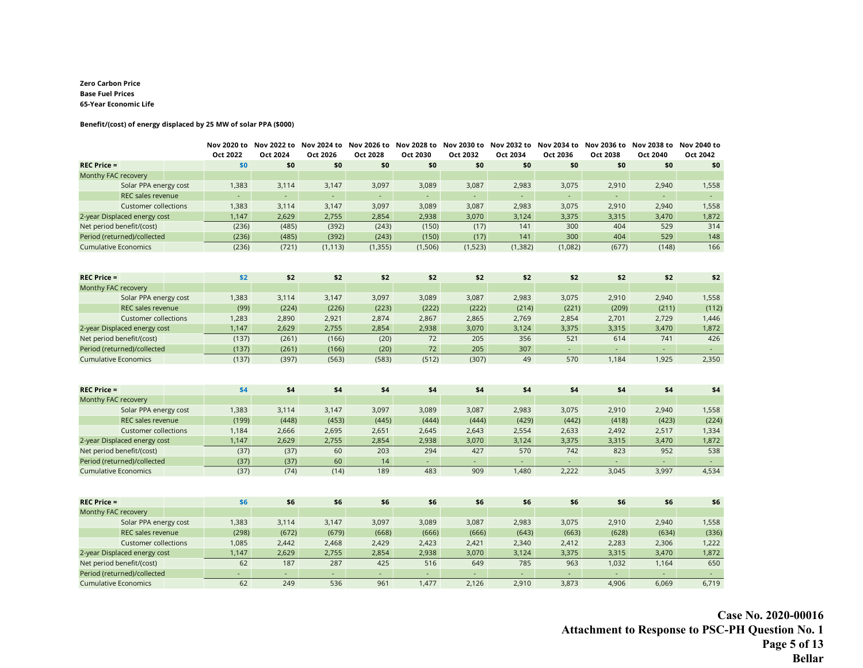#### **Zero Carbon Price Base Fuel Prices 65-Year Economic Life**

#### **Benefit/(cost) of energy displaced by 25 MW of solar PPA (\$000)**

|                              | Oct 2022 | Oct 2024                    | Oct 2026 | Oct 2028 | Nov 2020 to Nov 2022 to Nov 2024 to Nov 2026 to Nov 2028 to Nov 2030 to Nov 2032 to Nov 2034 to Nov 2036 to Nov 2038 to Nov 2040 to<br>Oct 2030 | Oct 2032   | Oct 2034 | Oct 2036         | Oct 2038       | Oct 2040 | Oct 2042            |
|------------------------------|----------|-----------------------------|----------|----------|-------------------------------------------------------------------------------------------------------------------------------------------------|------------|----------|------------------|----------------|----------|---------------------|
| $REC$ Price =                | \$0      | \$0                         | \$0      | \$0      | \$0                                                                                                                                             | \$0        | \$0      | \$0              | \$0            | \$0      | \$0                 |
| Monthy FAC recovery          |          |                             |          |          |                                                                                                                                                 |            |          |                  |                |          |                     |
| Solar PPA energy cost        | 1,383    | 3,114                       | 3,147    | 3,097    | 3,089                                                                                                                                           | 3,087      | 2,983    | 3,075            | 2,910          | 2,940    | 1,558               |
| REC sales revenue            |          | ÷.                          | ä,       | ÷.       | ÷,                                                                                                                                              | ÷,         | ÷,       | $\blacksquare$   | $\blacksquare$ |          | $\omega_{\rm c}$    |
| <b>Customer collections</b>  | 1,383    | 3,114                       | 3,147    | 3,097    | 3,089                                                                                                                                           | 3,087      | 2,983    | 3,075            | 2,910          | 2,940    | 1,558               |
| 2-year Displaced energy cost | 1,147    | 2,629                       | 2,755    | 2,854    | 2,938                                                                                                                                           | 3,070      | 3,124    | 3,375            | 3,315          | 3,470    | 1,872               |
| Net period benefit/(cost)    | (236)    | (485)                       | (392)    | (243)    | (150)                                                                                                                                           | (17)       | 141      | 300              | 404            | 529      | 314                 |
| Period (returned)/collected  | (236)    | (485)                       | (392)    | (243)    | (150)                                                                                                                                           | (17)       | 141      | 300              | 404            | 529      | 148                 |
| <b>Cumulative Economics</b>  | (236)    | (721)                       | (1, 113) | (1, 355) | (1,506)                                                                                                                                         | (1,523)    | (1, 382) | (1,082)          | (677)          | (148)    | 166                 |
|                              |          |                             |          |          |                                                                                                                                                 |            |          |                  |                |          |                     |
| <b>REC Price =</b>           | \$2      | \$2                         | \$2      | \$2      | \$2                                                                                                                                             | \$2        | \$2      | \$2              | \$2            | \$2      | \$2                 |
| Monthy FAC recovery          |          |                             |          |          |                                                                                                                                                 |            |          |                  |                |          |                     |
| Solar PPA energy cost        | 1,383    | 3,114                       | 3,147    | 3,097    | 3,089                                                                                                                                           | 3,087      | 2,983    | 3,075            | 2,910          | 2,940    | 1,558               |
| REC sales revenue            | (99)     | (224)                       | (226)    | (223)    | (222)                                                                                                                                           | (222)      | (214)    | (221)            | (209)          | (211)    | (112)               |
| <b>Customer collections</b>  | 1,283    | 2,890                       | 2,921    | 2,874    | 2,867                                                                                                                                           | 2,865      | 2,769    | 2,854            | 2,701          | 2,729    | 1,446               |
| 2-year Displaced energy cost | 1,147    | 2,629                       | 2,755    | 2,854    | 2,938                                                                                                                                           | 3,070      | 3,124    | 3,375            | 3,315          | 3,470    | 1,872               |
| Net period benefit/(cost)    | (137)    | (261)                       | (166)    | (20)     | 72                                                                                                                                              | 205        | 356      | 521              | 614            | 741      | 426                 |
| Period (returned)/collected  | (137)    | (261)                       | (166)    | (20)     | 72                                                                                                                                              | 205        | 307      | $\Delta \sim 10$ | $\sim$         | $\sim$   | $\sim$              |
| <b>Cumulative Economics</b>  | (137)    | (397)                       | (563)    | (583)    | (512)                                                                                                                                           | (307)      | 49       | 570              | 1,184          | 1,925    | 2,350               |
|                              |          |                             |          |          |                                                                                                                                                 |            |          |                  |                |          |                     |
| <b>REC Price =</b>           | \$4      | \$4                         | \$4      | \$4      | \$4                                                                                                                                             | \$4        | \$4      | \$4              | \$4            | \$4      | \$4                 |
| Monthy FAC recovery          |          |                             |          |          |                                                                                                                                                 |            |          |                  |                |          |                     |
| Solar PPA energy cost        | 1,383    | 3,114                       | 3,147    | 3,097    | 3,089                                                                                                                                           | 3,087      | 2,983    | 3,075            | 2,910          | 2,940    | 1,558               |
| <b>REC sales revenue</b>     | (199)    | (448)                       | (453)    | (445)    | (444)                                                                                                                                           | (444)      | (429)    | (442)            | (418)          | (423)    | (224)               |
| <b>Customer collections</b>  | 1,184    | 2,666                       | 2,695    | 2,651    | 2,645                                                                                                                                           | 2,643      | 2,554    | 2,633            | 2,492          | 2,517    | 1,334               |
| 2-year Displaced energy cost | 1,147    | 2,629                       | 2,755    | 2,854    | 2,938                                                                                                                                           | 3,070      | 3,124    | 3,375            | 3,315          | 3,470    | 1,872               |
| Net period benefit/(cost)    | (37)     | (37)                        | 60       | 203      | 294                                                                                                                                             | 427        | 570      | 742              | 823            | 952      | 538                 |
| Period (returned)/collected  | (37)     | (37)                        | 60       | 14       |                                                                                                                                                 | $\omega$ . | ÷.       | ÷.               |                |          |                     |
| <b>Cumulative Economics</b>  | (37)     | (74)                        | (14)     | 189      | 483                                                                                                                                             | 909        | 1,480    | 2,222            | 3,045          | 3,997    | 4,534               |
|                              |          |                             |          |          |                                                                                                                                                 |            |          |                  |                |          |                     |
| $REC$ Price =                | \$6      | \$6                         | \$6      | \$6      | \$6                                                                                                                                             | \$6        | \$6      | \$6              | \$6            | \$6      | \$6                 |
| Monthy FAC recovery          |          |                             |          |          |                                                                                                                                                 |            |          |                  |                |          |                     |
| Solar PPA energy cost        | 1,383    | 3,114                       | 3,147    | 3,097    | 3,089                                                                                                                                           | 3,087      | 2,983    | 3,075            | 2,910          | 2,940    | 1,558               |
| REC sales revenue            | (298)    | (672)                       | (679)    | (668)    | (666)                                                                                                                                           | (666)      | (643)    | (663)            | (628)          | (634)    | (336)               |
| <b>Customer collections</b>  | 1,085    | 2,442                       | 2,468    | 2,429    | 2,423                                                                                                                                           | 2,421      | 2,340    | 2,412            | 2,283          | 2,306    | 1,222               |
| 2-year Displaced energy cost | 1,147    | 2,629                       | 2,755    | 2,854    | 2,938                                                                                                                                           | 3,070      | 3,124    | 3,375            | 3,315          | 3,470    | 1,872               |
| Net period benefit/(cost)    | 62       | 187                         | 287      | 425      | 516                                                                                                                                             | 649        | 785      | 963              | 1,032          | 1,164    | 650                 |
| Period (returned)/collected  | $\sim$   | $\mathcal{L}_{\mathcal{A}}$ | ÷.       | ÷.       | $\omega$                                                                                                                                        |            | ÷.       |                  | ÷.             |          | $\omega_{\rm{eff}}$ |
| <b>Cumulative Economics</b>  | 62       | 249                         | 536      | 961      | 1,477                                                                                                                                           | 2,126      | 2,910    | 3,873            | 4,906          | 6,069    | 6,719               |

**Case No. 2020-00016 Attachment to Response to PSC-PH Question No. 1 Page 5 of 13 Bellar**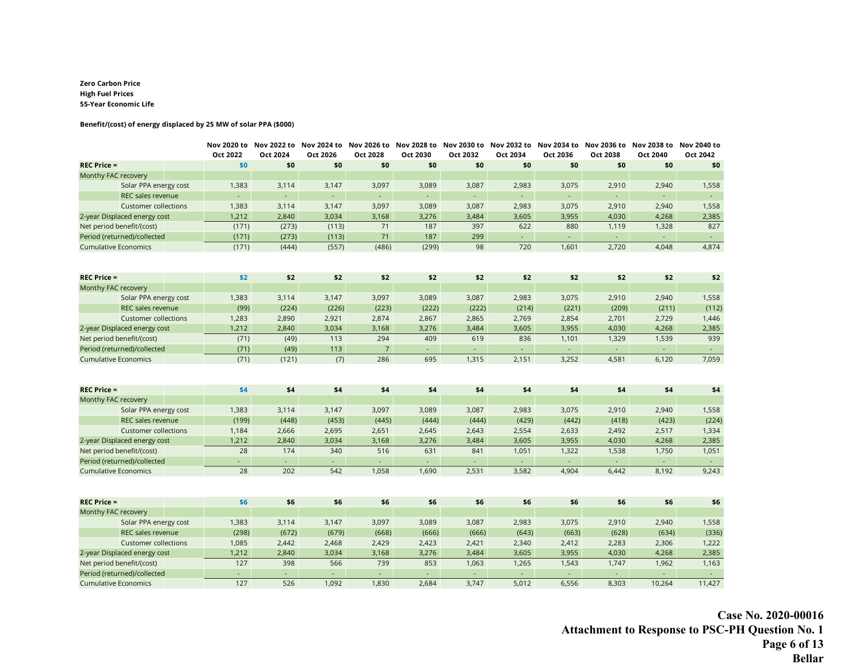#### **Zero Carbon Price High Fuel Prices 55-Year Economic Life**

#### **Benefit/(cost) of energy displaced by 25 MW of solar PPA (\$000)**

|                              | Oct 2022       | Oct 2024                    | Oct 2026 | Oct 2028         | Nov 2020 to Nov 2022 to Nov 2024 to Nov 2026 to Nov 2028 to Nov 2030 to Nov 2032 to Nov 2034 to Nov 2036 to Nov 2038 to Nov 2040 to<br>Oct 2030 | Oct 2032 | Oct 2034                    | Oct 2036                    | Oct 2038                    | Oct 2040                    | Oct 2042            |
|------------------------------|----------------|-----------------------------|----------|------------------|-------------------------------------------------------------------------------------------------------------------------------------------------|----------|-----------------------------|-----------------------------|-----------------------------|-----------------------------|---------------------|
| <b>REC Price =</b>           | \$0            | \$0                         | \$0      | \$0              | \$0                                                                                                                                             | \$0      | \$0                         | \$0                         | \$0                         | \$0                         | \$0                 |
| Monthy FAC recovery          |                |                             |          |                  |                                                                                                                                                 |          |                             |                             |                             |                             |                     |
| Solar PPA energy cost        | 1,383          | 3,114                       | 3,147    | 3,097            | 3,089                                                                                                                                           | 3,087    | 2,983                       | 3,075                       | 2,910                       | 2,940                       | 1,558               |
| REC sales revenue            | $\blacksquare$ | $\mathcal{L}_{\mathcal{A}}$ | ÷.       | $\omega_{\rm c}$ | $\mathcal{L}_{\mathcal{A}}$                                                                                                                     | ÷.       | $\omega$                    | ÷.                          | $\mathcal{L}_{\mathcal{C}}$ | $\mathcal{L}_{\mathcal{A}}$ | $\omega_{\rm c}$    |
| <b>Customer collections</b>  | 1,383          | 3,114                       | 3,147    | 3,097            | 3,089                                                                                                                                           | 3,087    | 2,983                       | 3,075                       | 2,910                       | 2,940                       | 1,558               |
| 2-year Displaced energy cost | 1,212          | 2,840                       | 3,034    | 3,168            | 3,276                                                                                                                                           | 3,484    | 3,605                       | 3,955                       | 4,030                       | 4,268                       | 2,385               |
| Net period benefit/(cost)    | (171)          | (273)                       | (113)    | 71               | 187                                                                                                                                             | 397      | 622                         | 880                         | 1,119                       | 1,328                       | 827                 |
| Period (returned)/collected  | (171)          | (273)                       | (113)    | 71               | 187                                                                                                                                             | 299      | ÷.                          | $\mathcal{L}^{\mathcal{A}}$ | ۰                           | $\omega$                    | $\omega_{\rm{eff}}$ |
| <b>Cumulative Economics</b>  | (171)          | (444)                       | (557)    | (486)            | (299)                                                                                                                                           | 98       | 720                         | 1,601                       | 2,720                       | 4,048                       | 4,874               |
|                              |                |                             |          |                  |                                                                                                                                                 |          |                             |                             |                             |                             |                     |
| $REC$ Price =                | \$2            | \$2                         | \$2      | \$2              | \$2                                                                                                                                             | \$2      | \$2                         | \$2                         | \$2                         | \$2                         | \$2                 |
| Monthy FAC recovery          |                |                             |          |                  |                                                                                                                                                 |          |                             |                             |                             |                             |                     |
| Solar PPA energy cost        | 1,383          | 3,114                       | 3,147    | 3,097            | 3,089                                                                                                                                           | 3,087    | 2,983                       | 3,075                       | 2,910                       | 2,940                       | 1,558               |
| REC sales revenue            | (99)           | (224)                       | (226)    | (223)            | (222)                                                                                                                                           | (222)    | (214)                       | (221)                       | (209)                       | (211)                       | (112)               |
| <b>Customer collections</b>  | 1,283          | 2,890                       | 2,921    | 2,874            | 2,867                                                                                                                                           | 2,865    | 2,769                       | 2,854                       | 2,701                       | 2,729                       | 1,446               |
| 2-year Displaced energy cost | 1,212          | 2,840                       | 3,034    | 3,168            | 3,276                                                                                                                                           | 3,484    | 3,605                       | 3,955                       | 4,030                       | 4,268                       | 2,385               |
| Net period benefit/(cost)    | (71)           | (49)                        | 113      | 294              | 409                                                                                                                                             | 619      | 836                         | 1,101                       | 1,329                       | 1,539                       | 939                 |
| Period (returned)/collected  | (71)           | (49)                        | 113      | $\overline{7}$   | $\sim$                                                                                                                                          | $\sim$   | $\mathcal{L}_{\mathcal{A}}$ | $\sim$                      | $\omega_{\rm c}$            | $\sim$                      | $\omega_{\rm{eff}}$ |
| <b>Cumulative Economics</b>  | (71)           | (121)                       | (7)      | 286              | 695                                                                                                                                             | 1,315    | 2,151                       | 3,252                       | 4,581                       | 6,120                       | 7,059               |
|                              |                |                             |          |                  |                                                                                                                                                 |          |                             |                             |                             |                             |                     |
| <b>REC Price =</b>           | \$4            | \$4                         | \$4      | \$4              | \$4                                                                                                                                             | \$4      | \$4                         | \$4                         | \$4                         | \$4                         | \$4                 |
| Monthy FAC recovery          |                |                             |          |                  |                                                                                                                                                 |          |                             |                             |                             |                             |                     |
| Solar PPA energy cost        | 1,383          | 3,114                       | 3,147    | 3,097            | 3,089                                                                                                                                           | 3,087    | 2,983                       | 3,075                       | 2,910                       | 2,940                       | 1,558               |
| <b>REC sales revenue</b>     | (199)          | (448)                       | (453)    | (445)            | (444)                                                                                                                                           | (444)    | (429)                       | (442)                       | (418)                       | (423)                       | (224)               |
| <b>Customer collections</b>  | 1,184          | 2,666                       | 2,695    | 2,651            | 2,645                                                                                                                                           | 2,643    | 2,554                       | 2,633                       | 2,492                       | 2,517                       | 1,334               |
| 2-year Displaced energy cost | 1,212          | 2,840                       | 3,034    | 3,168            | 3,276                                                                                                                                           | 3,484    | 3,605                       | 3,955                       | 4,030                       | 4,268                       | 2,385               |
| Net period benefit/(cost)    | 28             | 174                         | 340      | 516              | 631                                                                                                                                             | 841      | 1,051                       | 1,322                       | 1,538                       | 1,750                       | 1,051               |
| Period (returned)/collected  |                | ÷.                          | ÷.       | $\sim$           | ÷.                                                                                                                                              |          | ÷.                          | ÷.                          | $\omega_{\rm c}$            | $\sim$                      | $\Delta \sim 1$     |
| <b>Cumulative Economics</b>  | 28             | 202                         | 542      | 1,058            | 1,690                                                                                                                                           | 2,531    | 3,582                       | 4,904                       | 6,442                       | 8,192                       | 9,243               |
|                              |                |                             |          |                  |                                                                                                                                                 |          |                             |                             |                             |                             |                     |
| <b>REC Price =</b>           | \$6            | \$6                         | \$6      | \$6              | \$6                                                                                                                                             | \$6      | \$6                         | \$6                         | \$6                         | \$6                         | \$6                 |
| Monthy FAC recovery          |                |                             |          |                  |                                                                                                                                                 |          |                             |                             |                             |                             |                     |
| Solar PPA energy cost        | 1,383          | 3,114                       | 3,147    | 3,097            | 3,089                                                                                                                                           | 3,087    | 2,983                       | 3,075                       | 2,910                       | 2,940                       | 1,558               |
| REC sales revenue            | (298)          | (672)                       | (679)    | (668)            | (666)                                                                                                                                           | (666)    | (643)                       | (663)                       | (628)                       | (634)                       | (336)               |
| <b>Customer collections</b>  | 1,085          | 2,442                       | 2,468    | 2,429            | 2,423                                                                                                                                           | 2,421    | 2,340                       | 2,412                       | 2,283                       | 2,306                       | 1,222               |
| 2-year Displaced energy cost | 1,212          | 2,840                       | 3,034    | 3,168            | 3,276                                                                                                                                           | 3,484    | 3,605                       | 3,955                       | 4,030                       | 4,268                       | 2,385               |
| Net period benefit/(cost)    | 127            | 398                         | 566      | 739              | 853                                                                                                                                             | 1,063    | 1,265                       | 1,543                       | 1,747                       | 1,962                       | 1,163               |
| Period (returned)/collected  | ÷.             | $\omega$                    | ÷.       | $\omega$ .       | $\omega$                                                                                                                                        | $\omega$ | $\omega$                    | $\sim$                      | $\omega$                    | ÷.                          | $\Delta \sim 1$     |
| <b>Cumulative Economics</b>  | 127            | 526                         | 1,092    | 1,830            | 2,684                                                                                                                                           | 3,747    | 5,012                       | 6,556                       | 8,303                       | 10,264                      | 11,427              |

**Case No. 2020-00016 Attachment to Response to PSC-PH Question No. 1 Page 6 of 13 Bellar**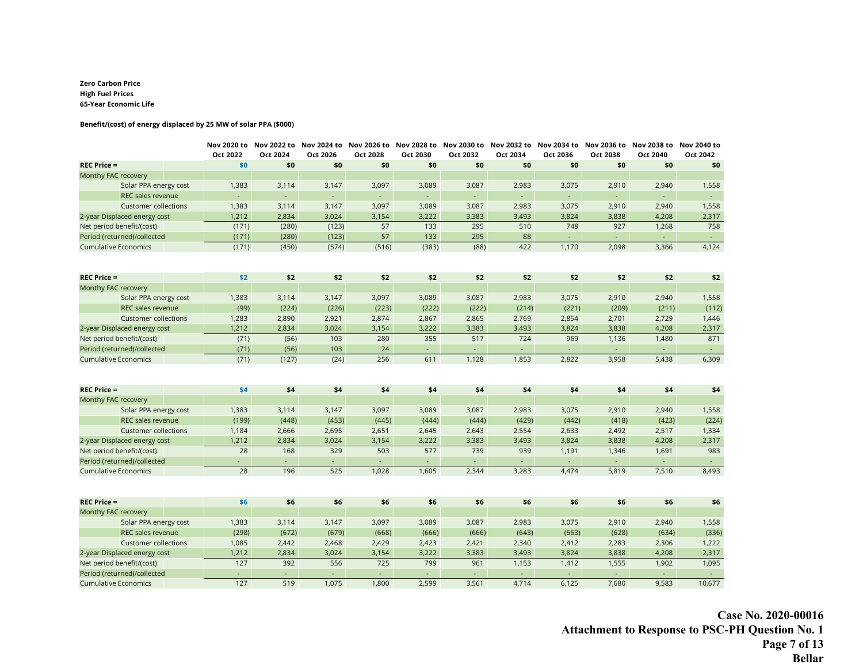#### **Zero Carbon Price High Fuel Prices 65-Year Economic Life**

#### **Benefit/(cost) of energy displaced by 25 MW of solar PPA (\$000)**

|                              | Oct 2022 | Nov 2020 to Nov 2022 to Nov 2024 to Nov 2026 to Nov 2028 to Nov 2030 to Nov 2032 to Nov 2034 to Nov 2036 to Nov 2038 to Nov 2040 to<br>Oct 2024 | Oct 2026 | Oct 2028         | Oct 2030 | Oct 2032 | Oct 2034                    | Oct 2036                    | Oct 2038                    | Oct 2040                    | Oct 2042            |
|------------------------------|----------|-------------------------------------------------------------------------------------------------------------------------------------------------|----------|------------------|----------|----------|-----------------------------|-----------------------------|-----------------------------|-----------------------------|---------------------|
| <b>REC Price =</b>           | \$0      | \$0                                                                                                                                             | \$0      | \$0              | \$0      | \$0      | \$0                         | \$0                         | \$0                         | \$0                         | \$0                 |
| Monthy FAC recovery          |          |                                                                                                                                                 |          |                  |          |          |                             |                             |                             |                             |                     |
| Solar PPA energy cost        | 1,383    | 3,114                                                                                                                                           | 3,147    | 3,097            | 3,089    | 3,087    | 2,983                       | 3,075                       | 2,910                       | 2,940                       | 1,558               |
| REC sales revenue            |          | $\mathcal{L}_{\mathcal{A}}$                                                                                                                     | ÷.       | $\omega_{\rm c}$ | $\sim$   | ÷.       | $\omega$                    | ÷.                          | $\mathcal{L}_{\mathcal{C}}$ | $\mathcal{L}_{\mathcal{A}}$ | $\omega_{\rm{eff}}$ |
| <b>Customer collections</b>  | 1,383    | 3,114                                                                                                                                           | 3,147    | 3,097            | 3,089    | 3,087    | 2,983                       | 3,075                       | 2,910                       | 2,940                       | 1,558               |
| 2-year Displaced energy cost | 1,212    | 2,834                                                                                                                                           | 3,024    | 3,154            | 3,222    | 3,383    | 3,493                       | 3,824                       | 3,838                       | 4,208                       | 2,317               |
| Net period benefit/(cost)    | (171)    | (280)                                                                                                                                           | (123)    | 57               | 133      | 295      | 510                         | 748                         | 927                         | 1,268                       | 758                 |
| Period (returned)/collected  | (171)    | (280)                                                                                                                                           | (123)    | 57               | 133      | 295      | 88                          | $\mathcal{L}_{\mathcal{A}}$ | $\omega$                    | $\omega$                    | $\omega_{\rm{eff}}$ |
| <b>Cumulative Economics</b>  | (171)    | (450)                                                                                                                                           | (574)    | (516)            | (383)    | (88)     | 422                         | 1,170                       | 2,098                       | 3,366                       | 4,124               |
|                              |          |                                                                                                                                                 |          |                  |          |          |                             |                             |                             |                             |                     |
| $REC$ Price =                | \$2      | \$2                                                                                                                                             | \$2      | \$2              | \$2      | \$2      | \$2                         | \$2                         | \$2                         | \$2                         | \$2                 |
| Monthy FAC recovery          |          |                                                                                                                                                 |          |                  |          |          |                             |                             |                             |                             |                     |
| Solar PPA energy cost        | 1,383    | 3,114                                                                                                                                           | 3,147    | 3,097            | 3,089    | 3,087    | 2,983                       | 3,075                       | 2,910                       | 2,940                       | 1,558               |
| REC sales revenue            | (99)     | (224)                                                                                                                                           | (226)    | (223)            | (222)    | (222)    | (214)                       | (221)                       | (209)                       | (211)                       | (112)               |
| <b>Customer collections</b>  | 1,283    | 2,890                                                                                                                                           | 2,921    | 2,874            | 2,867    | 2,865    | 2,769                       | 2,854                       | 2,701                       | 2,729                       | 1,446               |
| 2-year Displaced energy cost | 1,212    | 2,834                                                                                                                                           | 3,024    | 3,154            | 3,222    | 3,383    | 3,493                       | 3,824                       | 3,838                       | 4,208                       | 2,317               |
| Net period benefit/(cost)    | (71)     | (56)                                                                                                                                            | 103      | 280              | 355      | 517      | 724                         | 969                         | 1,136                       | 1,480                       | 871                 |
| Period (returned)/collected  | (71)     | (56)                                                                                                                                            | 103      | 24               | $\omega$ | $\omega$ | $\mathcal{L}_{\mathcal{A}}$ | $\sim$                      | $\omega_{\rm c}$            | $\blacksquare$              | $\omega_{\rm{eff}}$ |
| <b>Cumulative Economics</b>  | (71)     | (127)                                                                                                                                           | (24)     | 256              | 611      | 1,128    | 1,853                       | 2,822                       | 3,958                       | 5,438                       | 6,309               |
|                              |          |                                                                                                                                                 |          |                  |          |          |                             |                             |                             |                             |                     |
| <b>REC Price =</b>           | \$4      | \$4                                                                                                                                             | \$4      | \$4              | \$4      | \$4      | \$4                         | \$4                         | \$4                         | \$4                         | \$4                 |
| Monthy FAC recovery          |          |                                                                                                                                                 |          |                  |          |          |                             |                             |                             |                             |                     |
| Solar PPA energy cost        | 1,383    | 3,114                                                                                                                                           | 3,147    | 3,097            | 3,089    | 3,087    | 2,983                       | 3,075                       | 2,910                       | 2,940                       | 1,558               |
| <b>REC sales revenue</b>     | (199)    | (448)                                                                                                                                           | (453)    | (445)            | (444)    | (444)    | (429)                       | (442)                       | (418)                       | (423)                       | (224)               |
| <b>Customer collections</b>  | 1,184    | 2,666                                                                                                                                           | 2,695    | 2,651            | 2,645    | 2,643    | 2,554                       | 2,633                       | 2,492                       | 2,517                       | 1,334               |
| 2-year Displaced energy cost | 1,212    | 2,834                                                                                                                                           | 3,024    | 3,154            | 3,222    | 3,383    | 3,493                       | 3,824                       | 3,838                       | 4,208                       | 2,317               |
| Net period benefit/(cost)    | 28       | 168                                                                                                                                             | 329      | 503              | 577      | 739      | 939                         | 1,191                       | 1,346                       | 1,691                       | 983                 |
| Period (returned)/collected  |          | ÷.                                                                                                                                              | ÷.       | ÷.               | ÷.       |          | ÷.                          | ω.                          | ÷.                          | ÷.                          | $\omega_{\rm{eff}}$ |
| <b>Cumulative Economics</b>  | 28       | 196                                                                                                                                             | 525      | 1,028            | 1,605    | 2,344    | 3,283                       | 4,474                       | 5,819                       | 7,510                       | 8,493               |
|                              |          |                                                                                                                                                 |          |                  |          |          |                             |                             |                             |                             |                     |
| <b>REC Price =</b>           | \$6      | \$6                                                                                                                                             | \$6      | \$6              | \$6      | \$6      | \$6                         | \$6                         | \$6                         | \$6                         | \$6                 |
| Monthy FAC recovery          |          |                                                                                                                                                 |          |                  |          |          |                             |                             |                             |                             |                     |
| Solar PPA energy cost        | 1,383    | 3,114                                                                                                                                           | 3,147    | 3,097            | 3,089    | 3,087    | 2,983                       | 3,075                       | 2,910                       | 2,940                       | 1,558               |
| REC sales revenue            | (298)    | (672)                                                                                                                                           | (679)    | (668)            | (666)    | (666)    | (643)                       | (663)                       | (628)                       | (634)                       | (336)               |
| <b>Customer collections</b>  | 1,085    | 2,442                                                                                                                                           | 2,468    | 2,429            | 2,423    | 2,421    | 2,340                       | 2,412                       | 2,283                       | 2,306                       | 1,222               |
| 2-year Displaced energy cost | 1,212    | 2,834                                                                                                                                           | 3,024    | 3,154            | 3,222    | 3,383    | 3,493                       | 3,824                       | 3,838                       | 4,208                       | 2,317               |
| Net period benefit/(cost)    | 127      | 392                                                                                                                                             | 556      | 725              | 799      | 961      | 1,153                       | 1,412                       | 1,555                       | 1,902                       | 1,095               |
| Period (returned)/collected  | ÷.       | $\omega$                                                                                                                                        | ÷.       | $\omega$ .       | $\omega$ | $\omega$ | $\omega$                    | $\sim$                      | $\omega$                    | $\omega$                    | $\Delta \sim 1$     |
| <b>Cumulative Economics</b>  | 127      | 519                                                                                                                                             | 1,075    | 1,800            | 2,599    | 3,561    | 4,714                       | 6,125                       | 7,680                       | 9,583                       | 10,677              |

**Case No. 2020-00016 Attachment to Response to PSC-PH Question No. 1 Page 7 of 13 Bellar**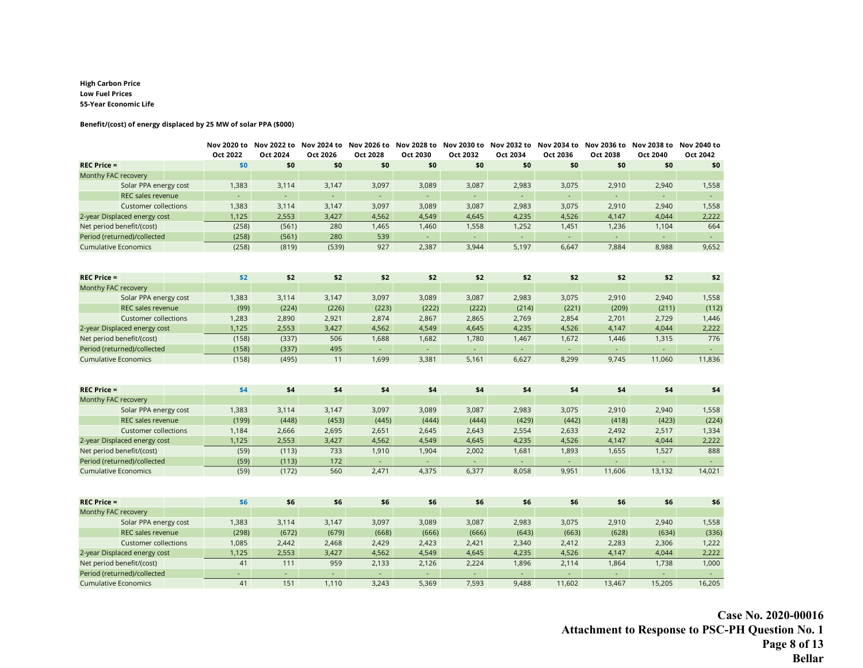#### **High Carbon Price Low Fuel Prices 55-Year Economic Life**

#### **Benefit/(cost) of energy displaced by 25 MW of solar PPA (\$000)**

|                              | Oct 2022       | Nov 2020 to Nov 2022 to Nov 2024 to Nov 2026 to Nov 2028 to Nov 2030 to Nov 2032 to Nov 2034 to Nov 2036 to Nov 2038 to Nov 2040 to<br>Oct 2024 | Oct 2026                    | Oct 2028                  | Oct 2030          | Oct 2032                    | Oct 2034                    | Oct 2036                  | Oct 2038        | Oct 2040                 | Oct 2042                   |
|------------------------------|----------------|-------------------------------------------------------------------------------------------------------------------------------------------------|-----------------------------|---------------------------|-------------------|-----------------------------|-----------------------------|---------------------------|-----------------|--------------------------|----------------------------|
| <b>REC Price =</b>           | \$0            | \$0                                                                                                                                             | \$0                         | \$0                       | \$0               | \$0                         | \$0                         | \$0                       | \$0             | \$0                      | \$0                        |
| Monthy FAC recovery          |                |                                                                                                                                                 |                             |                           |                   |                             |                             |                           |                 |                          |                            |
| Solar PPA energy cost        | 1,383          | 3,114                                                                                                                                           | 3,147                       | 3,097                     | 3,089             | 3,087                       | 2,983                       | 3,075                     | 2,910           | 2,940                    | 1,558                      |
| REC sales revenue            |                | ÷.                                                                                                                                              | $\mathcal{L}_{\mathcal{C}}$ | ÷.                        | ÷.                | $\mathcal{L}_{\mathcal{A}}$ | $\mathcal{L}_{\mathcal{C}}$ | $\omega_{\rm{eff}}$       | ÷.              | ÷,                       | $\omega_{\rm{eff}}$        |
| <b>Customer collections</b>  | 1,383          | 3,114                                                                                                                                           | 3,147                       | 3,097                     | 3,089             | 3,087                       | 2,983                       | 3,075                     | 2,910           | 2,940                    | 1,558                      |
| 2-year Displaced energy cost | 1,125          | 2,553                                                                                                                                           | 3,427                       | 4,562                     | 4,549             | 4,645                       | 4,235                       | 4,526                     | 4,147           | 4,044                    | 2,222                      |
| Net period benefit/(cost)    | (258)          | (561)                                                                                                                                           | 280                         | 1,465                     | 1,460             | 1,558                       | 1,252                       | 1,451                     | 1,236           | 1,104                    | 664                        |
| Period (returned)/collected  | (258)          | (561)                                                                                                                                           | 280                         | 539                       | $\sim$            | $\Delta \phi$               | $\omega$                    | $\Delta \sim 10$          | $\omega$ .      | $\sim$                   | $\omega_{\rm{eff}}$        |
| <b>Cumulative Economics</b>  | (258)          | (819)                                                                                                                                           | (539)                       | 927                       | 2,387             | 3,944                       | 5,197                       | 6,647                     | 7,884           | 8,988                    | 9,652                      |
|                              |                |                                                                                                                                                 |                             |                           |                   |                             |                             |                           |                 |                          |                            |
| <b>REC Price =</b>           | \$2            | \$2                                                                                                                                             | \$2                         | \$2                       | \$2               | \$2                         | \$2                         | \$2                       | \$2             | \$2                      | \$2                        |
| Monthy FAC recovery          |                |                                                                                                                                                 |                             |                           |                   |                             |                             |                           |                 |                          |                            |
| Solar PPA energy cost        | 1,383          | 3,114                                                                                                                                           | 3,147                       | 3,097                     | 3,089             | 3,087                       | 2,983                       | 3,075                     | 2,910           | 2,940                    | 1,558                      |
| REC sales revenue            | (99)           | (224)                                                                                                                                           | (226)                       | (223)                     | (222)             | (222)                       | (214)                       | (221)                     | (209)           | (211)                    | (112)                      |
| <b>Customer collections</b>  | 1,283          | 2,890                                                                                                                                           | 2,921                       | 2,874                     | 2,867             | 2,865                       | 2,769                       | 2,854                     | 2,701           | 2,729                    | 1,446                      |
| 2-year Displaced energy cost | 1,125          | 2,553                                                                                                                                           | 3,427                       | 4,562                     | 4,549             | 4,645                       | 4,235                       | 4,526                     | 4,147           | 4,044                    | 2,222                      |
| Net period benefit/(cost)    | (158)          | (337)                                                                                                                                           | 506                         | 1,688                     | 1,682             | 1,780                       | 1,467                       | 1,672                     | 1,446           | 1,315                    | 776                        |
| Period (returned)/collected  | (158)<br>(158) | (337)                                                                                                                                           | 495<br>11                   | $\omega_{\rm c}$<br>1,699 | $\omega$<br>3,381 | $\omega$<br>5,161           | $\omega$<br>6,627           | $\omega_{\rm c}$<br>8,299 | $\sim$<br>9,745 | $\blacksquare$<br>11,060 | $\omega_{\rm c}$<br>11,836 |
| <b>Cumulative Economics</b>  |                | (495)                                                                                                                                           |                             |                           |                   |                             |                             |                           |                 |                          |                            |
| $REC$ Price =                | \$4            | \$4                                                                                                                                             | \$4                         | \$4                       | \$4               | \$4                         | \$4                         | \$4                       | \$4             | \$4                      | \$4                        |
| Monthy FAC recovery          |                |                                                                                                                                                 |                             |                           |                   |                             |                             |                           |                 |                          |                            |
| Solar PPA energy cost        | 1,383          | 3,114                                                                                                                                           | 3,147                       | 3,097                     | 3,089             | 3,087                       | 2,983                       | 3,075                     | 2,910           | 2,940                    | 1,558                      |
| REC sales revenue            | (199)          | (448)                                                                                                                                           | (453)                       | (445)                     | (444)             | (444)                       | (429)                       | (442)                     | (418)           | (423)                    | (224)                      |
| <b>Customer collections</b>  | 1,184          | 2,666                                                                                                                                           | 2,695                       | 2,651                     | 2,645             | 2,643                       | 2,554                       | 2,633                     | 2,492           | 2,517                    | 1,334                      |
| 2-year Displaced energy cost | 1,125          | 2,553                                                                                                                                           | 3,427                       | 4,562                     | 4,549             | 4,645                       | 4,235                       | 4,526                     | 4,147           | 4,044                    | 2,222                      |
| Net period benefit/(cost)    | (59)           | (113)                                                                                                                                           | 733                         | 1,910                     | 1,904             | 2,002                       | 1,681                       | 1,893                     | 1,655           | 1,527                    | 888                        |
| Period (returned)/collected  | (59)           | (113)                                                                                                                                           | 172                         | $\sim$                    | ÷.                |                             | ÷.                          | ÷.                        | ÷.              |                          | $\omega_{\rm{eff}}$        |
| <b>Cumulative Economics</b>  | (59)           | (172)                                                                                                                                           | 560                         | 2,471                     | 4,375             | 6,377                       | 8,058                       | 9,951                     | 11,606          | 13,132                   | 14,021                     |
| $REC$ Price =                | \$6            | \$6                                                                                                                                             | \$6                         | \$6                       | \$6               | \$6                         | \$6                         | \$6                       | \$6             | \$6                      | \$6                        |
| Monthy FAC recovery          |                |                                                                                                                                                 |                             |                           |                   |                             |                             |                           |                 |                          |                            |
| Solar PPA energy cost        | 1,383          | 3,114                                                                                                                                           | 3,147                       | 3,097                     | 3,089             | 3,087                       | 2,983                       | 3,075                     | 2,910           | 2,940                    | 1,558                      |
| REC sales revenue            | (298)          | (672)                                                                                                                                           | (679)                       | (668)                     | (666)             | (666)                       | (643)                       | (663)                     | (628)           | (634)                    | (336)                      |
| <b>Customer collections</b>  | 1,085          | 2,442                                                                                                                                           | 2,468                       | 2,429                     | 2,423             | 2,421                       | 2,340                       | 2,412                     | 2,283           | 2,306                    | 1,222                      |
| 2-year Displaced energy cost | 1,125          | 2,553                                                                                                                                           | 3,427                       | 4,562                     | 4,549             | 4,645                       | 4,235                       | 4,526                     | 4,147           | 4,044                    | 2,222                      |
| Net period benefit/(cost)    | 41             | 111                                                                                                                                             | 959                         | 2,133                     | 2,126             | 2,224                       | 1,896                       | 2,114                     | 1,864           | 1,738                    | 1,000                      |
| Period (returned)/collected  | ÷.             | $\mathcal{L}_{\mathcal{A}}$                                                                                                                     | $\omega$                    | $\sim$                    | $\sim$            | $\omega$                    | $\omega$                    | $\sim$                    | ÷,              | $\omega$                 | $\Delta \sim 1$            |
| <b>Cumulative Economics</b>  | 41             | 151                                                                                                                                             | 1,110                       | 3,243                     | 5,369             | 7,593                       | 9,488                       | 11,602                    | 13,467          | 15,205                   | 16,205                     |

**Case No. 2020-00016 Attachment to Response to PSC-PH Question No. 1 Page 8 of 13 Bellar**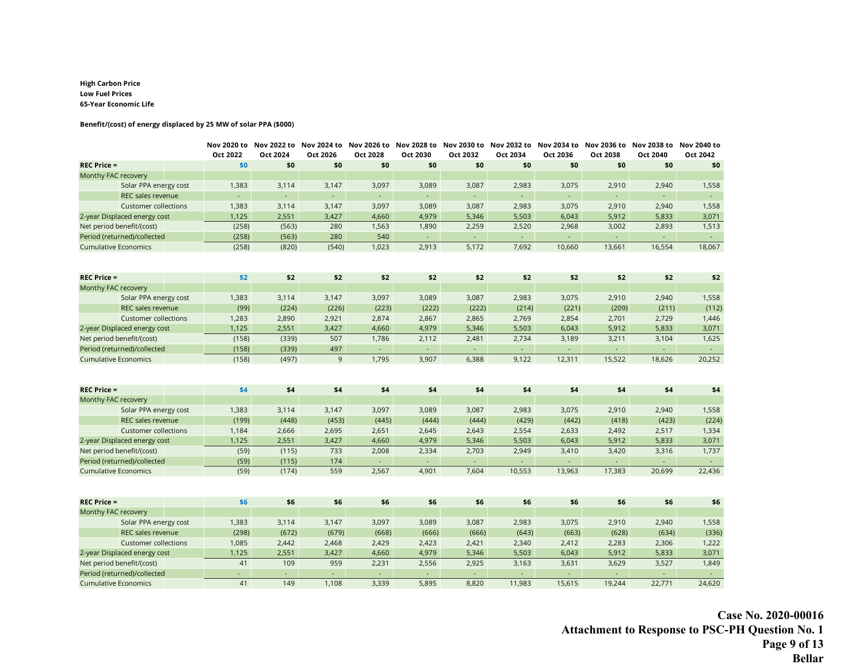#### **High Carbon Price Low Fuel Prices 65-Year Economic Life**

#### **Benefit/(cost) of energy displaced by 25 MW of solar PPA (\$000)**

|                                                            | Oct 2022       | Nov 2020 to Nov 2022 to Nov 2024 to Nov 2026 to Nov 2028 to Nov 2030 to Nov 2032 to Nov 2034 to Nov 2036 to Nov 2038 to Nov 2040 to<br>Oct 2024 | Oct 2026                    | Oct 2028                  | Oct 2030        | Oct 2032                    | Oct 2034                             | Oct 2036            | Oct 2038                   | Oct 2040           | Oct 2042                   |
|------------------------------------------------------------|----------------|-------------------------------------------------------------------------------------------------------------------------------------------------|-----------------------------|---------------------------|-----------------|-----------------------------|--------------------------------------|---------------------|----------------------------|--------------------|----------------------------|
| <b>REC Price =</b>                                         | \$0            | \$0                                                                                                                                             | \$0                         | \$0                       | \$0             | \$0                         | \$0                                  | \$0                 | \$0                        | \$0                | \$0                        |
| Monthy FAC recovery                                        |                |                                                                                                                                                 |                             |                           |                 |                             |                                      |                     |                            |                    |                            |
| Solar PPA energy cost                                      | 1,383          | 3,114                                                                                                                                           | 3,147                       | 3,097                     | 3,089           | 3,087                       | 2,983                                | 3,075               | 2,910                      | 2,940              | 1,558                      |
| <b>REC sales revenue</b>                                   |                | ÷.                                                                                                                                              | $\mathcal{L}_{\mathcal{C}}$ | ÷.                        | ÷.              | $\mathcal{L}_{\mathcal{A}}$ | $\mathcal{L}_{\mathcal{C}}$          | $\omega_{\rm{eff}}$ | ÷.                         | ÷,                 | $\omega_{\rm c}$           |
| <b>Customer collections</b>                                | 1,383          | 3,114                                                                                                                                           | 3,147                       | 3,097                     | 3,089           | 3,087                       | 2,983                                | 3,075               | 2,910                      | 2,940              | 1,558                      |
| 2-year Displaced energy cost                               | 1,125          | 2,551                                                                                                                                           | 3,427                       | 4,660                     | 4,979           | 5,346                       | 5,503                                | 6,043               | 5,912                      | 5,833              | 3,071                      |
| Net period benefit/(cost)                                  | (258)          | (563)                                                                                                                                           | 280                         | 1,563                     | 1,890           | 2,259                       | 2,520                                | 2,968               | 3,002                      | 2,893              | 1,513                      |
| Period (returned)/collected                                | (258)          | (563)                                                                                                                                           | 280                         | 540                       | $\sim$          | $\Delta \phi$               | $\omega$ .                           | $\Delta \sim 10$    | ÷.                         | $\sim$             | $\Delta \sim 1$            |
| <b>Cumulative Economics</b>                                | (258)          | (820)                                                                                                                                           | (540)                       | 1,023                     | 2,913           | 5,172                       | 7,692                                | 10,660              | 13,661                     | 16,554             | 18,067                     |
|                                                            |                |                                                                                                                                                 |                             |                           |                 |                             |                                      |                     |                            |                    |                            |
| <b>REC Price =</b>                                         | \$2            | \$2                                                                                                                                             | \$2                         | \$2                       | \$2             | \$2                         | \$2                                  | \$2                 | \$2                        | \$2                | \$2                        |
| Monthy FAC recovery                                        |                |                                                                                                                                                 |                             |                           |                 |                             |                                      |                     |                            |                    |                            |
| Solar PPA energy cost                                      | 1,383          | 3,114                                                                                                                                           | 3,147                       | 3,097                     | 3,089           | 3,087                       | 2,983                                | 3,075               | 2,910                      | 2,940              | 1,558                      |
| REC sales revenue                                          | (99)           | (224)                                                                                                                                           | (226)                       | (223)                     | (222)           | (222)                       | (214)                                | (221)               | (209)                      | (211)              | (112)                      |
| <b>Customer collections</b>                                | 1,283          | 2,890                                                                                                                                           | 2,921                       | 2,874                     | 2,867           | 2,865                       | 2,769                                | 2,854               | 2,701                      | 2,729              | 1,446                      |
| 2-year Displaced energy cost                               | 1,125          | 2,551                                                                                                                                           | 3,427                       | 4,660                     | 4,979           | 5,346                       | 5,503                                | 6,043               | 5,912                      | 5,833              | 3,071                      |
| Net period benefit/(cost)                                  | (158)          | (339)                                                                                                                                           | 507                         | 1,786                     | 2,112           | 2,481                       | 2,734                                | 3,189               | 3,211                      | 3,104              | 1,625                      |
| Period (returned)/collected<br><b>Cumulative Economics</b> | (158)<br>(158) | (339)                                                                                                                                           | 497<br>9                    | $\omega_{\rm c}$<br>1,795 | $\sim$<br>3,907 | $\sim$<br>6,388             | $\mathcal{L}_{\mathcal{A}}$<br>9,122 | $\omega$<br>12,311  | $\omega_{\rm c}$<br>15,522 | $\omega$<br>18,626 | $\omega_{\rm c}$<br>20,252 |
|                                                            |                | (497)                                                                                                                                           |                             |                           |                 |                             |                                      |                     |                            |                    |                            |
| $REC$ Price =                                              | \$4            | \$4                                                                                                                                             | \$4                         | \$4                       | \$4             | \$4                         | \$4                                  | \$4                 | \$4                        | \$4                | \$4                        |
| Monthy FAC recovery                                        |                |                                                                                                                                                 |                             |                           |                 |                             |                                      |                     |                            |                    |                            |
| Solar PPA energy cost                                      | 1,383          | 3,114                                                                                                                                           | 3,147                       | 3,097                     | 3,089           | 3,087                       | 2,983                                | 3,075               | 2,910                      | 2,940              | 1,558                      |
| REC sales revenue                                          | (199)          | (448)                                                                                                                                           | (453)                       | (445)                     | (444)           | (444)                       | (429)                                | (442)               | (418)                      | (423)              | (224)                      |
| <b>Customer collections</b>                                | 1,184          | 2,666                                                                                                                                           | 2,695                       | 2,651                     | 2,645           | 2,643                       | 2,554                                | 2,633               | 2,492                      | 2,517              | 1,334                      |
| 2-year Displaced energy cost                               | 1,125          | 2,551                                                                                                                                           | 3,427                       | 4,660                     | 4,979           | 5,346                       | 5,503                                | 6,043               | 5,912                      | 5,833              | 3,071                      |
| Net period benefit/(cost)                                  | (59)           | (115)                                                                                                                                           | 733                         | 2,008                     | 2,334           | 2,703                       | 2,949                                | 3,410               | 3,420                      | 3,316              | 1,737                      |
| Period (returned)/collected                                | (59)           | (115)                                                                                                                                           | 174                         | ÷.                        | ÷.              | $\omega$                    | ÷.                                   | ÷.                  | ÷.                         | $\omega$           | $\Delta \sim 10$           |
| <b>Cumulative Economics</b>                                | (59)           | (174)                                                                                                                                           | 559                         | 2,567                     | 4,901           | 7,604                       | 10,553                               | 13,963              | 17,383                     | 20,699             | 22,436                     |
| $REC$ Price =                                              | \$6            | \$6                                                                                                                                             | \$6                         | \$6                       | \$6             | \$6                         | \$6                                  | \$6                 | \$6                        | \$6                | \$6                        |
| Monthy FAC recovery                                        |                |                                                                                                                                                 |                             |                           |                 |                             |                                      |                     |                            |                    |                            |
| Solar PPA energy cost                                      | 1,383          | 3,114                                                                                                                                           | 3,147                       | 3,097                     | 3,089           | 3,087                       | 2,983                                | 3,075               | 2,910                      | 2,940              | 1,558                      |
| REC sales revenue                                          | (298)          | (672)                                                                                                                                           | (679)                       | (668)                     | (666)           | (666)                       | (643)                                | (663)               | (628)                      | (634)              | (336)                      |
| <b>Customer collections</b>                                | 1,085          | 2,442                                                                                                                                           | 2,468                       | 2,429                     | 2,423           | 2,421                       | 2,340                                | 2,412               | 2,283                      | 2,306              | 1,222                      |
| 2-year Displaced energy cost                               | 1,125          | 2,551                                                                                                                                           | 3,427                       | 4,660                     | 4,979           | 5,346                       | 5,503                                | 6,043               | 5,912                      | 5,833              | 3,071                      |
| Net period benefit/(cost)                                  | 41             | 109                                                                                                                                             | 959                         | 2,231                     | 2,556           | 2,925                       | 3,163                                | 3,631               | 3,629                      | 3,527              | 1,849                      |
| Period (returned)/collected                                | ÷.             | $\mathcal{L}_{\mathcal{A}}$                                                                                                                     | $\omega$                    | $\sim$                    | $\sim$          | $\omega$                    | $\omega_{\rm c}$                     | $\omega$            | ÷.                         | $\omega$           | $\Delta \sim 1$            |
| <b>Cumulative Economics</b>                                | 41             | 149                                                                                                                                             | 1,108                       | 3,339                     | 5,895           | 8,820                       | 11,983                               | 15,615              | 19,244                     | 22,771             | 24,620                     |

**Case No. 2020-00016 Attachment to Response to PSC-PH Question No. 1 Page 9 of 13 Bellar**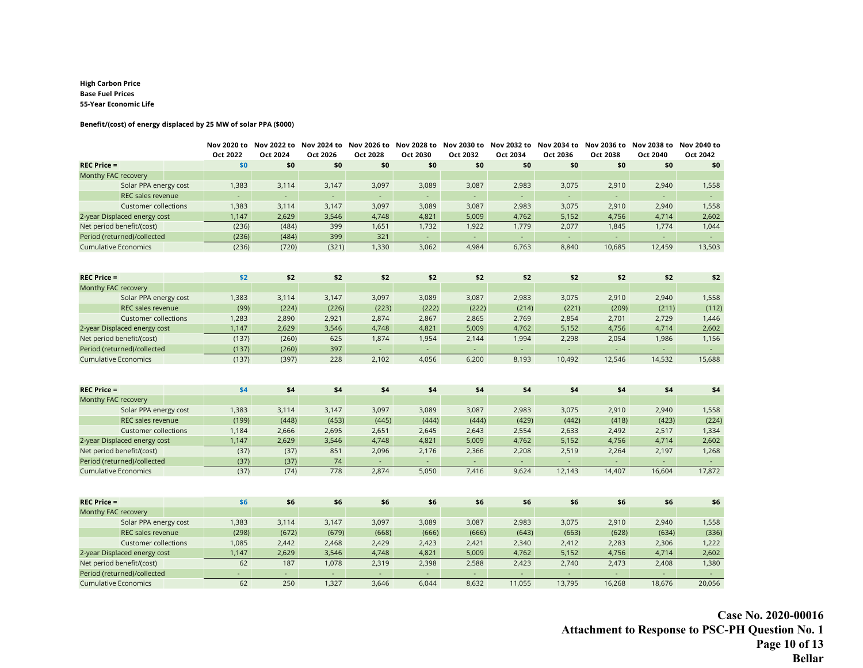#### **High Carbon Price Base Fuel Prices 55-Year Economic Life**

#### **Benefit/(cost) of energy displaced by 25 MW of solar PPA (\$000)**

|                              | Oct 2022       | Oct 2024                    | Nov 2020 to Nov 2022 to Nov 2024 to Nov 2026 to Nov 2028 to Nov 2030 to Nov 2032 to Nov 2034 to Nov 2036 to Nov 2038 to Nov 2040 to<br>Oct 2026 | Oct 2028         | Oct 2030 | Oct 2032                    | Oct 2034         | Oct 2036            | Oct 2038                    | Oct 2040 | Oct 2042            |
|------------------------------|----------------|-----------------------------|-------------------------------------------------------------------------------------------------------------------------------------------------|------------------|----------|-----------------------------|------------------|---------------------|-----------------------------|----------|---------------------|
| $REC$ Price =                | \$0            | \$0                         | \$0                                                                                                                                             | \$0              | \$0      | \$0                         | \$0              | \$0                 | \$0                         | \$0      | \$0                 |
| Monthy FAC recovery          |                |                             |                                                                                                                                                 |                  |          |                             |                  |                     |                             |          |                     |
| Solar PPA energy cost        | 1,383          | 3,114                       | 3,147                                                                                                                                           | 3,097            | 3,089    | 3,087                       | 2,983            | 3,075               | 2,910                       | 2,940    | 1,558               |
| REC sales revenue            | $\blacksquare$ | $\mathcal{L}_{\mathcal{A}}$ | $\mathcal{L}_{\mathcal{C}}$                                                                                                                     | ÷.               | ÷.       | $\mathcal{L}_{\mathcal{A}}$ | $\omega$         | $\omega_{\rm{eff}}$ | $\mathcal{L}_{\mathcal{A}}$ | ÷.       | $\omega_{\rm{eff}}$ |
| <b>Customer collections</b>  | 1,383          | 3,114                       | 3,147                                                                                                                                           | 3,097            | 3,089    | 3,087                       | 2,983            | 3,075               | 2,910                       | 2,940    | 1,558               |
| 2-year Displaced energy cost | 1,147          | 2,629                       | 3,546                                                                                                                                           | 4,748            | 4,821    | 5,009                       | 4,762            | 5,152               | 4,756                       | 4,714    | 2,602               |
| Net period benefit/(cost)    | (236)          | (484)                       | 399                                                                                                                                             | 1,651            | 1,732    | 1,922                       | 1,779            | 2,077               | 1,845                       | 1,774    | 1,044               |
| Period (returned)/collected  | (236)          | (484)                       | 399                                                                                                                                             | 321              | $\sim$   | $\sim$                      | $\sim$           | $\omega_{\rm c}$    | ÷.                          | $\sim$   | $\Delta \sim 10$    |
| <b>Cumulative Economics</b>  | (236)          | (720)                       | (321)                                                                                                                                           | 1,330            | 3,062    | 4,984                       | 6,763            | 8,840               | 10,685                      | 12,459   | 13,503              |
|                              |                |                             |                                                                                                                                                 |                  |          |                             |                  |                     |                             |          |                     |
| $REC$ Price =                | \$2            | \$2                         | \$2                                                                                                                                             | \$2              | \$2      | \$2                         | \$2              | \$2                 | \$2                         | \$2      | \$2                 |
| Monthy FAC recovery          |                |                             |                                                                                                                                                 |                  |          |                             |                  |                     |                             |          |                     |
| Solar PPA energy cost        | 1,383          | 3,114                       | 3,147                                                                                                                                           | 3,097            | 3,089    | 3,087                       | 2,983            | 3,075               | 2,910                       | 2,940    | 1,558               |
| REC sales revenue            | (99)           | (224)                       | (226)                                                                                                                                           | (223)            | (222)    | (222)                       | (214)            | (221)               | (209)                       | (211)    | (112)               |
| <b>Customer collections</b>  | 1,283          | 2,890                       | 2,921                                                                                                                                           | 2,874            | 2,867    | 2,865                       | 2,769            | 2,854               | 2,701                       | 2,729    | 1,446               |
| 2-year Displaced energy cost | 1,147          | 2,629                       | 3,546                                                                                                                                           | 4,748            | 4,821    | 5,009                       | 4,762            | 5,152               | 4,756                       | 4,714    | 2,602               |
| Net period benefit/(cost)    | (137)          | (260)                       | 625                                                                                                                                             | 1,874            | 1,954    | 2,144                       | 1,994            | 2,298               | 2,054                       | 1,986    | 1,156               |
| Period (returned)/collected  | (137)          | (260)                       | 397                                                                                                                                             | $\omega_{\rm c}$ | $\sim$   | $\sim$                      | $\omega_{\rm c}$ | $\sim$              | $\sim$                      | $\sim$   | $\omega_{\rm{eff}}$ |
| <b>Cumulative Economics</b>  | (137)          | (397)                       | 228                                                                                                                                             | 2,102            | 4,056    | 6,200                       | 8,193            | 10,492              | 12,546                      | 14,532   | 15,688              |
|                              |                |                             |                                                                                                                                                 |                  |          |                             |                  |                     |                             |          |                     |
| <b>REC Price =</b>           | \$4            | \$4                         | \$4                                                                                                                                             | \$4              | \$4      | \$4                         | \$4              | \$4                 | \$4                         | \$4      | \$4                 |
| Monthy FAC recovery          |                |                             |                                                                                                                                                 |                  |          |                             |                  |                     |                             |          |                     |
| Solar PPA energy cost        | 1,383          | 3,114                       | 3,147                                                                                                                                           | 3,097            | 3,089    | 3,087                       | 2,983            | 3,075               | 2,910                       | 2,940    | 1,558               |
| <b>REC sales revenue</b>     | (199)          | (448)                       | (453)                                                                                                                                           | (445)            | (444)    | (444)                       | (429)            | (442)               | (418)                       | (423)    | (224)               |
| <b>Customer collections</b>  | 1,184          | 2,666                       | 2,695                                                                                                                                           | 2,651            | 2,645    | 2,643                       | 2,554            | 2,633               | 2,492                       | 2,517    | 1,334               |
| 2-year Displaced energy cost | 1,147          | 2,629                       | 3,546                                                                                                                                           | 4,748            | 4,821    | 5,009                       | 4,762            | 5,152               | 4,756                       | 4,714    | 2,602               |
| Net period benefit/(cost)    | (37)           | (37)                        | 851                                                                                                                                             | 2,096            | 2,176    | 2,366                       | 2,208            | 2,519               | 2,264                       | 2,197    | 1,268               |
| Period (returned)/collected  | (37)           | (37)                        | 74                                                                                                                                              | ÷.               | ÷.       | $\sim$                      | ÷.               |                     | a.                          | ÷.       | $\omega_{\rm{eff}}$ |
| <b>Cumulative Economics</b>  | (37)           | (74)                        | 778                                                                                                                                             | 2,874            | 5,050    | 7,416                       | 9,624            | 12,143              | 14,407                      | 16,604   | 17,872              |
|                              |                |                             |                                                                                                                                                 |                  |          |                             |                  |                     |                             |          |                     |
| <b>REC Price =</b>           | \$6            | \$6                         | \$6                                                                                                                                             | \$6              | \$6      | \$6                         | \$6              | \$6                 | \$6                         | \$6      | \$6                 |
| Monthy FAC recovery          |                |                             |                                                                                                                                                 |                  |          |                             |                  |                     |                             |          |                     |
| Solar PPA energy cost        | 1,383          | 3,114                       | 3,147                                                                                                                                           | 3,097            | 3,089    | 3,087                       | 2,983            | 3,075               | 2,910                       | 2,940    | 1,558               |
| REC sales revenue            | (298)          | (672)                       | (679)                                                                                                                                           | (668)            | (666)    | (666)                       | (643)            | (663)               | (628)                       | (634)    | (336)               |
| <b>Customer collections</b>  | 1,085          | 2,442                       | 2,468                                                                                                                                           | 2,429            | 2,423    | 2,421                       | 2,340            | 2,412               | 2,283                       | 2,306    | 1,222               |
| 2-year Displaced energy cost | 1,147          | 2,629                       | 3,546                                                                                                                                           | 4,748            | 4,821    | 5,009                       | 4,762            | 5,152               | 4,756                       | 4,714    | 2,602               |
| Net period benefit/(cost)    | 62             | 187                         | 1,078                                                                                                                                           | 2,319            | 2,398    | 2,588                       | 2,423            | 2,740               | 2,473                       | 2,408    | 1,380               |
| Period (returned)/collected  | ÷.             | ÷.                          | $\omega$                                                                                                                                        | ÷.               | $\sim$   | $\sim$                      | $\omega$         | $\omega_{\rm c}$    | ÷.                          | $\Box$   | $\omega_{\rm{eff}}$ |
| <b>Cumulative Economics</b>  | 62             | 250                         | 1,327                                                                                                                                           | 3,646            | 6,044    | 8,632                       | 11,055           | 13,795              | 16,268                      | 18,676   | 20,056              |

**Case No. 2020-00016 Attachment to Response to PSC-PH Question No. 1 Page 10 of 13 Bellar**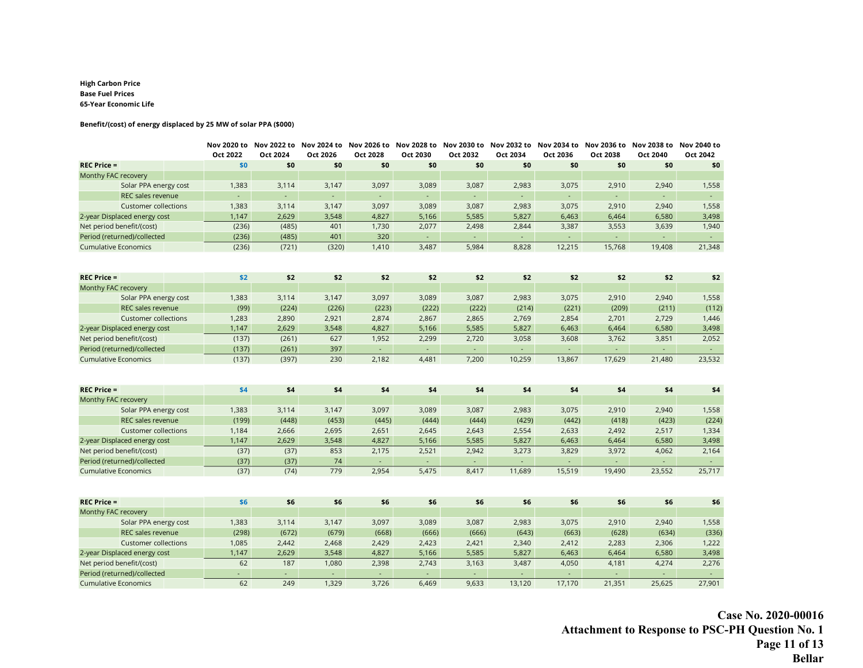#### **High Carbon Price Base Fuel Prices 65-Year Economic Life**

#### **Benefit/(cost) of energy displaced by 25 MW of solar PPA (\$000)**

|                              | Oct 2022 | Oct 2024 | Oct 2026 | Oct 2028            | Nov 2020 to Nov 2022 to Nov 2024 to Nov 2026 to Nov 2028 to Nov 2030 to Nov 2032 to Nov 2034 to Nov 2036 to Nov 2038 to Nov 2040 to<br>Oct 2030 | Oct 2032 | Oct 2034                    | Oct 2036            | Oct 2038         | Oct 2040 | Oct 2042            |
|------------------------------|----------|----------|----------|---------------------|-------------------------------------------------------------------------------------------------------------------------------------------------|----------|-----------------------------|---------------------|------------------|----------|---------------------|
| <b>REC Price =</b>           | \$0      | \$0      | \$0      | \$0                 | \$0                                                                                                                                             | \$0      | \$0                         | \$0                 | \$0              | \$0      | \$0                 |
| Monthy FAC recovery          |          |          |          |                     |                                                                                                                                                 |          |                             |                     |                  |          |                     |
| Solar PPA energy cost        | 1,383    | 3,114    | 3,147    | 3,097               | 3,089                                                                                                                                           | 3,087    | 2,983                       | 3,075               | 2,910            | 2,940    | 1,558               |
| REC sales revenue            |          | ÷.       | $\omega$ | ÷.                  | ÷.                                                                                                                                              |          | $\mathcal{L}_{\mathcal{C}}$ | ÷.                  | ÷.               | $\Box$   | $\omega_{\rm c}$    |
| <b>Customer collections</b>  | 1,383    | 3,114    | 3,147    | 3,097               | 3,089                                                                                                                                           | 3,087    | 2,983                       | 3,075               | 2,910            | 2,940    | 1,558               |
| 2-year Displaced energy cost | 1,147    | 2,629    | 3,548    | 4,827               | 5,166                                                                                                                                           | 5,585    | 5,827                       | 6,463               | 6,464            | 6,580    | 3,498               |
| Net period benefit/(cost)    | (236)    | (485)    | 401      | 1,730               | 2,077                                                                                                                                           | 2,498    | 2,844                       | 3,387               | 3,553            | 3,639    | 1,940               |
| Period (returned)/collected  | (236)    | (485)    | 401      | 320                 | $\omega$                                                                                                                                        | $\sim$   | $\omega$                    | $\Delta \sim 10$    | $\omega_{\rm c}$ | ÷.       | $\Delta \sim 10$    |
| <b>Cumulative Economics</b>  | (236)    | (721)    | (320)    | 1,410               | 3,487                                                                                                                                           | 5,984    | 8,828                       | 12,215              | 15,768           | 19,408   | 21,348              |
|                              |          |          |          |                     |                                                                                                                                                 |          |                             |                     |                  |          |                     |
| <b>REC Price =</b>           | \$2      | \$2      | \$2      | \$2                 | \$2                                                                                                                                             | \$2      | \$2                         | \$2                 | \$2              | \$2      | \$2                 |
| Monthy FAC recovery          |          |          |          |                     |                                                                                                                                                 |          |                             |                     |                  |          |                     |
| Solar PPA energy cost        | 1,383    | 3,114    | 3,147    | 3,097               | 3,089                                                                                                                                           | 3,087    | 2,983                       | 3,075               | 2,910            | 2,940    | 1,558               |
| REC sales revenue            | (99)     | (224)    | (226)    | (223)               | (222)                                                                                                                                           | (222)    | (214)                       | (221)               | (209)            | (211)    | (112)               |
| <b>Customer collections</b>  | 1,283    | 2,890    | 2,921    | 2,874               | 2,867                                                                                                                                           | 2,865    | 2,769                       | 2,854               | 2,701            | 2,729    | 1,446               |
| 2-year Displaced energy cost | 1,147    | 2,629    | 3,548    | 4,827               | 5,166                                                                                                                                           | 5,585    | 5,827                       | 6,463               | 6,464            | 6,580    | 3,498               |
| Net period benefit/(cost)    | (137)    | (261)    | 627      | 1,952               | 2,299                                                                                                                                           | 2,720    | 3,058                       | 3,608               | 3,762            | 3,851    | 2,052               |
| Period (returned)/collected  | (137)    | (261)    | 397      | $\omega_{\rm{eff}}$ | $\omega_{\rm c}$                                                                                                                                | $\sim$   | $\mathcal{L}_{\mathcal{A}}$ | $\omega_{\rm c}$    | $\omega_{\rm c}$ | $\omega$ | $\omega_{\rm c}$    |
| <b>Cumulative Economics</b>  | (137)    | (397)    | 230      | 2,182               | 4,481                                                                                                                                           | 7,200    | 10,259                      | 13,867              | 17,629           | 21,480   | 23,532              |
| $REC$ Price =                | \$4      | \$4      | \$4      | \$4                 | \$4                                                                                                                                             | \$4      | \$4                         | \$4                 | \$4              | \$4      | \$4                 |
| Monthy FAC recovery          |          |          |          |                     |                                                                                                                                                 |          |                             |                     |                  |          |                     |
| Solar PPA energy cost        | 1,383    | 3,114    | 3,147    | 3,097               | 3,089                                                                                                                                           | 3,087    | 2,983                       | 3,075               | 2,910            | 2,940    | 1,558               |
| REC sales revenue            | (199)    | (448)    | (453)    | (445)               | (444)                                                                                                                                           | (444)    | (429)                       | (442)               | (418)            | (423)    | (224)               |
| <b>Customer collections</b>  | 1,184    | 2,666    | 2,695    | 2,651               | 2,645                                                                                                                                           | 2,643    | 2,554                       | 2,633               | 2,492            | 2,517    | 1,334               |
| 2-year Displaced energy cost | 1,147    | 2,629    | 3,548    | 4,827               | 5,166                                                                                                                                           | 5,585    | 5,827                       | 6,463               | 6,464            | 6,580    | 3,498               |
| Net period benefit/(cost)    | (37)     | (37)     | 853      | 2,175               | 2,521                                                                                                                                           | 2,942    | 3,273                       | 3,829               | 3,972            | 4,062    | 2,164               |
| Period (returned)/collected  | (37)     | (37)     | 74       | ÷.                  | ÷.                                                                                                                                              |          | ÷.                          |                     | ÷.               | ÷.       | $\Delta \sim 10$    |
| <b>Cumulative Economics</b>  | (37)     | (74)     | 779      | 2,954               | 5,475                                                                                                                                           | 8,417    | 11,689                      | 15,519              | 19,490           | 23,552   | 25,717              |
| $REC$ Price =                | \$6      | \$6      | \$6      | \$6                 | \$6                                                                                                                                             | \$6      | \$6                         | \$6                 | \$6              | \$6      | \$6                 |
| Monthy FAC recovery          |          |          |          |                     |                                                                                                                                                 |          |                             |                     |                  |          |                     |
| Solar PPA energy cost        | 1,383    | 3,114    | 3,147    | 3,097               | 3,089                                                                                                                                           | 3,087    | 2,983                       | 3,075               | 2,910            | 2,940    | 1,558               |
| REC sales revenue            | (298)    | (672)    | (679)    | (668)               | (666)                                                                                                                                           | (666)    | (643)                       | (663)               | (628)            | (634)    | (336)               |
| <b>Customer collections</b>  | 1,085    | 2,442    | 2,468    | 2,429               | 2,423                                                                                                                                           | 2,421    | 2,340                       | 2,412               | 2,283            | 2,306    | 1,222               |
| 2-year Displaced energy cost | 1,147    | 2,629    | 3,548    | 4,827               | 5,166                                                                                                                                           | 5,585    | 5,827                       | 6,463               | 6,464            | 6,580    | 3,498               |
| Net period benefit/(cost)    | 62       | 187      | 1,080    | 2,398               | 2,743                                                                                                                                           | 3,163    | 3,487                       | 4,050               | 4,181            | 4,274    | 2,276               |
| Period (returned)/collected  | ÷.       | $\omega$ | $\omega$ | $\omega$ .          | $\sim$                                                                                                                                          | $\omega$ | $\omega$                    | $\omega_{\rm{eff}}$ | ÷.               | $\Box$   | $\omega_{\rm{eff}}$ |
| <b>Cumulative Economics</b>  | 62       | 249      | 1,329    | 3,726               | 6,469                                                                                                                                           | 9,633    | 13,120                      | 17,170              | 21,351           | 25,625   | 27,901              |

**Case No. 2020-00016 Attachment to Response to PSC-PH Question No. 1 Page 11 of 13 Bellar**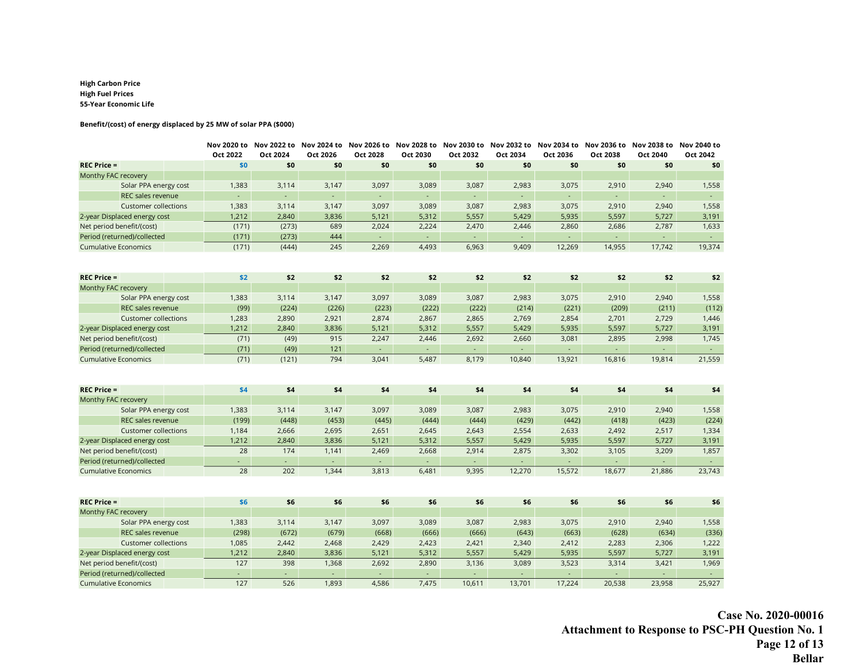#### **High Carbon Price High Fuel Prices 55-Year Economic Life**

#### **Benefit/(cost) of energy displaced by 25 MW of solar PPA (\$000)**

|                                                            |  | Oct 2022                    | Oct 2024                    | Oct 2026   | Oct 2028                  | Nov 2020 to Nov 2022 to Nov 2024 to Nov 2026 to Nov 2028 to Nov 2030 to Nov 2032 to Nov 2034 to Nov 2036 to Nov 2038 to Nov 2040 to<br>Oct 2030 | Oct 2032        | Oct 2034                              | Oct 2036                    | Oct 2038                   | Oct 2040                | Oct 2042                   |
|------------------------------------------------------------|--|-----------------------------|-----------------------------|------------|---------------------------|-------------------------------------------------------------------------------------------------------------------------------------------------|-----------------|---------------------------------------|-----------------------------|----------------------------|-------------------------|----------------------------|
| <b>REC Price =</b>                                         |  | \$0                         | \$0                         | \$0        | \$0                       | \$0                                                                                                                                             | \$0             | \$0                                   | \$0                         | \$0                        | \$0                     | \$0                        |
| Monthy FAC recovery                                        |  |                             |                             |            |                           |                                                                                                                                                 |                 |                                       |                             |                            |                         |                            |
| Solar PPA energy cost                                      |  | 1,383                       | 3,114                       | 3,147      | 3,097                     | 3,089                                                                                                                                           | 3,087           | 2,983                                 | 3,075                       | 2,910                      | 2,940                   | 1,558                      |
| REC sales revenue                                          |  |                             | ÷.                          | $\omega$   | ÷.                        | ÷,                                                                                                                                              |                 | $\mathcal{L}_{\mathcal{C}}$           | ÷.                          | ä,                         | ÷.                      | $\omega_{\rm{eff}}$        |
| <b>Customer collections</b>                                |  | 1,383                       | 3,114                       | 3,147      | 3,097                     | 3,089                                                                                                                                           | 3,087           | 2,983                                 | 3,075                       | 2,910                      | 2,940                   | 1,558                      |
| 2-year Displaced energy cost                               |  | 1,212                       | 2,840                       | 3,836      | 5,121                     | 5,312                                                                                                                                           | 5,557           | 5,429                                 | 5,935                       | 5,597                      | 5,727                   | 3,191                      |
| Net period benefit/(cost)                                  |  | (171)                       | (273)                       | 689        | 2,024                     | 2,224                                                                                                                                           | 2,470           | 2,446                                 | 2,860                       | 2,686                      | 2,787                   | 1,633                      |
| Period (returned)/collected                                |  | (171)                       | (273)                       | 444        | $\Delta \sim 10$          | $\sim$                                                                                                                                          | $\sim$          | ÷.                                    | $\Delta \sim 10$            | $\Delta \phi$              | ÷.                      | $\omega_{\rm{eff}}$        |
| <b>Cumulative Economics</b>                                |  | (171)                       | (444)                       | 245        | 2,269                     | 4,493                                                                                                                                           | 6,963           | 9,409                                 | 12,269                      | 14,955                     | 17,742                  | 19,374                     |
|                                                            |  |                             |                             |            |                           |                                                                                                                                                 |                 |                                       |                             |                            |                         |                            |
| <b>REC Price =</b>                                         |  | \$2                         | \$2                         | \$2        | \$2                       | \$2                                                                                                                                             | \$2             | \$2                                   | \$2                         | \$2                        | \$2                     | \$2                        |
| Monthy FAC recovery                                        |  |                             |                             |            |                           |                                                                                                                                                 |                 |                                       |                             |                            |                         |                            |
| Solar PPA energy cost                                      |  | 1,383                       | 3,114                       | 3,147      | 3,097                     | 3,089                                                                                                                                           | 3,087           | 2,983                                 | 3,075                       | 2,910                      | 2,940                   | 1,558                      |
| REC sales revenue                                          |  | (99)                        | (224)                       | (226)      | (223)                     | (222)                                                                                                                                           | (222)           | (214)                                 | (221)                       | (209)                      | (211)                   | (112)                      |
| <b>Customer collections</b>                                |  | 1,283                       | 2,890                       | 2,921      | 2,874                     | 2,867                                                                                                                                           | 2,865           | 2,769                                 | 2,854                       | 2,701                      | 2,729                   | 1,446                      |
| 2-year Displaced energy cost                               |  | 1,212                       | 2,840                       | 3,836      | 5,121                     | 5,312                                                                                                                                           | 5,557           | 5,429                                 | 5,935                       | 5,597                      | 5,727                   | 3,191                      |
| Net period benefit/(cost)                                  |  | (71)                        | (49)                        | 915        | 2,247                     | 2,446                                                                                                                                           | 2,692           | 2,660                                 | 3,081                       | 2,895                      | 2,998                   | 1,745                      |
| Period (returned)/collected<br><b>Cumulative Economics</b> |  | (71)<br>(71)                | (49)<br>(121)               | 121<br>794 | $\omega_{\rm c}$<br>3,041 | $\sim$<br>5,487                                                                                                                                 | $\sim$<br>8,179 | $\mathcal{L}_{\mathcal{A}}$<br>10,840 | $\omega_{\rm c}$<br>13,921  | $\omega_{\rm c}$<br>16,816 | $\mathcal{L}$<br>19,814 | $\omega_{\rm c}$<br>21,559 |
|                                                            |  |                             |                             |            |                           |                                                                                                                                                 |                 |                                       |                             |                            |                         |                            |
| $REC$ Price =                                              |  | \$4                         | \$4                         | \$4        | \$4                       | \$4                                                                                                                                             | \$4             | \$4                                   | \$4                         | \$4                        | \$4                     | \$4                        |
| Monthy FAC recovery                                        |  |                             |                             |            |                           |                                                                                                                                                 |                 |                                       |                             |                            |                         |                            |
| Solar PPA energy cost                                      |  | 1,383                       | 3,114                       | 3,147      | 3,097                     | 3,089                                                                                                                                           | 3,087           | 2,983                                 | 3,075                       | 2,910                      | 2,940                   | 1,558                      |
| REC sales revenue                                          |  | (199)                       | (448)                       | (453)      | (445)                     | (444)                                                                                                                                           | (444)           | (429)                                 | (442)                       | (418)                      | (423)                   | (224)                      |
| <b>Customer collections</b>                                |  | 1,184                       | 2,666                       | 2,695      | 2,651                     | 2,645                                                                                                                                           | 2,643           | 2,554                                 | 2,633                       | 2,492                      | 2,517                   | 1,334                      |
| 2-year Displaced energy cost                               |  | 1,212                       | 2,840                       | 3,836      | 5,121                     | 5,312                                                                                                                                           | 5,557           | 5,429                                 | 5,935                       | 5,597                      | 5,727                   | 3,191                      |
| Net period benefit/(cost)                                  |  | 28                          | 174                         | 1,141      | 2,469                     | 2,668                                                                                                                                           | 2,914           | 2,875                                 | 3,302                       | 3,105                      | 3,209                   | 1,857                      |
| Period (returned)/collected                                |  | ÷.                          | $\mathcal{L}^{\mathcal{A}}$ | ÷.         | ÷.                        | ÷.                                                                                                                                              |                 | ÷.                                    | ÷.                          | ÷.                         |                         | $\Delta \sim 10$           |
| <b>Cumulative Economics</b>                                |  | 28                          | 202                         | 1,344      | 3,813                     | 6,481                                                                                                                                           | 9,395           | 12,270                                | 15,572                      | 18,677                     | 21,886                  | 23,743                     |
| $REC$ Price =                                              |  | \$6                         | \$6                         | \$6        | \$6                       | \$6                                                                                                                                             | \$6             | \$6                                   | \$6                         | \$6                        | \$6                     | \$6                        |
| Monthy FAC recovery                                        |  |                             |                             |            |                           |                                                                                                                                                 |                 |                                       |                             |                            |                         |                            |
| Solar PPA energy cost                                      |  | 1,383                       | 3,114                       | 3,147      | 3,097                     | 3,089                                                                                                                                           | 3,087           | 2,983                                 | 3,075                       | 2,910                      | 2,940                   | 1,558                      |
| REC sales revenue                                          |  | (298)                       | (672)                       | (679)      | (668)                     | (666)                                                                                                                                           | (666)           | (643)                                 | (663)                       | (628)                      | (634)                   | (336)                      |
| <b>Customer collections</b>                                |  | 1,085                       | 2,442                       | 2,468      | 2,429                     | 2,423                                                                                                                                           | 2,421           | 2,340                                 | 2,412                       | 2,283                      | 2,306                   | 1,222                      |
| 2-year Displaced energy cost                               |  | 1,212                       | 2,840                       | 3,836      | 5,121                     | 5,312                                                                                                                                           | 5,557           | 5,429                                 | 5,935                       | 5,597                      | 5,727                   | 3,191                      |
| Net period benefit/(cost)                                  |  | 127                         | 398                         | 1,368      | 2,692                     | 2,890                                                                                                                                           | 3,136           | 3,089                                 | 3,523                       | 3,314                      | 3,421                   | 1,969                      |
| Period (returned)/collected                                |  | $\mathcal{L}_{\mathcal{A}}$ | $\omega$                    | $\omega$   | $\omega$ .                | $\omega$                                                                                                                                        |                 | $\omega$                              | $\mathcal{L}_{\mathcal{A}}$ | ÷.                         | $\omega$                | $\sim$                     |
| <b>Cumulative Economics</b>                                |  | 127                         | 526                         | 1,893      | 4,586                     | 7,475                                                                                                                                           | 10,611          | 13,701                                | 17,224                      | 20,538                     | 23,958                  | 25,927                     |

**Case No. 2020-00016 Attachment to Response to PSC-PH Question No. 1 Page 12 of 13 Bellar**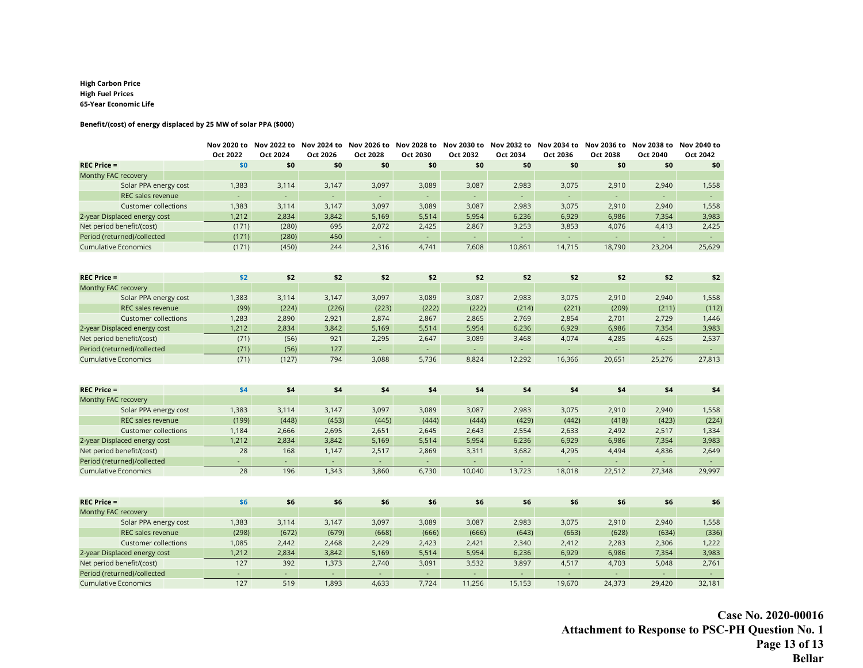#### **High Carbon Price High Fuel Prices 65-Year Economic Life**

#### **Benefit/(cost) of energy displaced by 25 MW of solar PPA (\$000)**

|                                                            |  | Oct 2022     | Nov 2020 to Nov 2022 to Nov 2024 to Nov 2026 to Nov 2028 to Nov 2030 to Nov 2032 to Nov 2034 to Nov 2036 to Nov 2038 to Nov 2040 to<br>Oct 2024 | Oct 2026                    | Oct 2028                     | Oct 2030                     | Oct 2032                    | Oct 2034                   | Oct 2036                      | Oct 2038                   | Oct 2040            | Oct 2042                      |
|------------------------------------------------------------|--|--------------|-------------------------------------------------------------------------------------------------------------------------------------------------|-----------------------------|------------------------------|------------------------------|-----------------------------|----------------------------|-------------------------------|----------------------------|---------------------|-------------------------------|
| <b>REC Price =</b>                                         |  | \$0          | \$0                                                                                                                                             | \$0                         | \$0                          | \$0                          | \$0                         | \$0                        | \$0                           | \$0                        | \$0                 | \$0                           |
| Monthy FAC recovery                                        |  |              |                                                                                                                                                 |                             |                              |                              |                             |                            |                               |                            |                     |                               |
| Solar PPA energy cost                                      |  | 1,383        | 3,114                                                                                                                                           | 3,147                       | 3,097                        | 3,089                        | 3,087                       | 2,983                      | 3,075                         | 2,910                      | 2,940               | 1,558                         |
| REC sales revenue                                          |  | $\Box$       | $\mathcal{L}_{\mathcal{A}}$                                                                                                                     | $\mathcal{L}_{\mathcal{C}}$ | ÷.                           | $\mathcal{L}_{\mathcal{C}}$  | $\mathcal{L}_{\mathcal{A}}$ | $\omega$                   | $\omega_{\rm c}$              | ÷.                         | $\omega_{\rm{eff}}$ | $\omega_{\rm{eff}}$           |
| <b>Customer collections</b>                                |  | 1,383        | 3,114                                                                                                                                           | 3,147                       | 3,097                        | 3,089                        | 3,087                       | 2,983                      | 3,075                         | 2,910                      | 2,940               | 1,558                         |
| 2-year Displaced energy cost                               |  | 1,212        | 2,834                                                                                                                                           | 3,842                       | 5,169                        | 5,514                        | 5,954                       | 6,236                      | 6,929                         | 6,986                      | 7,354               | 3,983                         |
| Net period benefit/(cost)                                  |  | (171)        | (280)                                                                                                                                           | 695                         | 2,072                        | 2,425                        | 2,867                       | 3,253                      | 3,853                         | 4,076                      | 4,413               | 2,425                         |
| Period (returned)/collected                                |  | (171)        | (280)                                                                                                                                           | 450                         | $\omega_{\rm c}$             | $\sim$                       | $\sim$                      | $\omega$                   | $\omega_{\rm c}$              | ÷.                         | ÷.                  | $\omega_{\rm{eff}}$           |
| <b>Cumulative Economics</b>                                |  | (171)        | (450)                                                                                                                                           | 244                         | 2,316                        | 4,741                        | 7,608                       | 10,861                     | 14,715                        | 18,790                     | 23,204              | 25,629                        |
|                                                            |  |              |                                                                                                                                                 |                             |                              |                              |                             |                            |                               |                            |                     |                               |
| <b>REC Price =</b>                                         |  | \$2          | \$2                                                                                                                                             | \$2                         | \$2                          | \$2                          | \$2                         | \$2                        | \$2                           | \$2                        | \$2                 | \$2                           |
| Monthy FAC recovery                                        |  |              |                                                                                                                                                 |                             |                              |                              |                             |                            |                               |                            |                     |                               |
| Solar PPA energy cost                                      |  | 1,383        | 3,114                                                                                                                                           | 3,147                       | 3,097                        | 3,089                        | 3,087                       | 2,983                      | 3,075                         | 2,910                      | 2,940               | 1,558                         |
| REC sales revenue                                          |  | (99)         | (224)                                                                                                                                           | (226)                       | (223)                        | (222)                        | (222)                       | (214)                      | (221)                         | (209)                      | (211)               | (112)                         |
| <b>Customer collections</b>                                |  | 1,283        | 2,890                                                                                                                                           | 2,921                       | 2,874                        | 2,867                        | 2,865                       | 2,769                      | 2,854                         | 2,701                      | 2,729               | 1,446                         |
| 2-year Displaced energy cost                               |  | 1,212        | 2,834                                                                                                                                           | 3,842                       | 5,169                        | 5,514                        | 5,954                       | 6,236                      | 6,929                         | 6,986                      | 7,354               | 3,983                         |
| Net period benefit/(cost)                                  |  | (71)         | (56)                                                                                                                                            | 921                         | 2,295                        | 2,647                        | 3,089                       | 3,468                      | 4,074                         | 4,285                      | 4,625               | 2,537                         |
| Period (returned)/collected<br><b>Cumulative Economics</b> |  | (71)<br>(71) | (56)<br>(127)                                                                                                                                   | 127<br>794                  | $\omega_{\rm{eff}}$<br>3,088 | $\omega_{\rm{eff}}$<br>5,736 | $\sim$<br>8,824             | $\omega_{\rm c}$<br>12,292 | $\omega_{\rm{eff}}$<br>16,366 | $\omega_{\rm c}$<br>20,651 | $\sim$<br>25,276    | $\omega_{\rm{eff}}$<br>27,813 |
|                                                            |  |              |                                                                                                                                                 |                             |                              |                              |                             |                            |                               |                            |                     |                               |
| <b>REC Price =</b>                                         |  | \$4          | \$4                                                                                                                                             | \$4                         | \$4                          | \$4                          | \$4                         | \$4                        | \$4                           | \$4                        | \$4                 | \$4                           |
| Monthy FAC recovery                                        |  |              |                                                                                                                                                 |                             |                              |                              |                             |                            |                               |                            |                     |                               |
| Solar PPA energy cost                                      |  | 1,383        | 3,114                                                                                                                                           | 3,147                       | 3,097                        | 3,089                        | 3,087                       | 2,983                      | 3,075                         | 2,910                      | 2,940               | 1,558                         |
| REC sales revenue                                          |  | (199)        | (448)                                                                                                                                           | (453)                       | (445)                        | (444)                        | (444)                       | (429)                      | (442)                         | (418)                      | (423)               | (224)                         |
| <b>Customer collections</b>                                |  | 1,184        | 2,666                                                                                                                                           | 2,695                       | 2,651                        | 2,645                        | 2,643                       | 2,554                      | 2,633                         | 2,492                      | 2,517               | 1,334                         |
| 2-year Displaced energy cost                               |  | 1,212        | 2,834                                                                                                                                           | 3,842                       | 5,169                        | 5,514                        | 5,954                       | 6,236                      | 6,929                         | 6,986                      | 7,354               | 3,983                         |
| Net period benefit/(cost)                                  |  | 28           | 168                                                                                                                                             | 1,147                       | 2,517                        | 2,869                        | 3,311                       | 3,682                      | 4,295                         | 4,494                      | 4,836               | 2,649                         |
| Period (returned)/collected                                |  | ÷.           | $\sim$                                                                                                                                          | ÷.                          | ÷.                           | $\Delta \phi$                |                             | ÷.                         |                               | ц,                         | ÷.                  | $\Delta \sim 10$              |
| <b>Cumulative Economics</b>                                |  | 28           | 196                                                                                                                                             | 1,343                       | 3,860                        | 6,730                        | 10,040                      | 13,723                     | 18,018                        | 22,512                     | 27,348              | 29,997                        |
| <b>REC Price =</b>                                         |  | \$6          | \$6                                                                                                                                             | \$6                         | \$6                          | \$6                          | \$6                         | \$6                        | \$6                           | \$6                        | \$6                 | \$6                           |
| Monthy FAC recovery                                        |  |              |                                                                                                                                                 |                             |                              |                              |                             |                            |                               |                            |                     |                               |
| Solar PPA energy cost                                      |  | 1,383        | 3,114                                                                                                                                           | 3,147                       | 3,097                        | 3,089                        | 3,087                       | 2,983                      | 3,075                         | 2,910                      | 2,940               | 1,558                         |
| REC sales revenue                                          |  | (298)        | (672)                                                                                                                                           | (679)                       | (668)                        | (666)                        | (666)                       | (643)                      | (663)                         | (628)                      | (634)               | (336)                         |
| <b>Customer collections</b>                                |  | 1,085        | 2,442                                                                                                                                           | 2,468                       | 2,429                        | 2,423                        | 2,421                       | 2,340                      | 2,412                         | 2,283                      | 2,306               | 1,222                         |
| 2-year Displaced energy cost                               |  | 1,212        | 2,834                                                                                                                                           | 3,842                       | 5,169                        | 5,514                        | 5,954                       | 6,236                      | 6,929                         | 6,986                      | 7,354               | 3,983                         |
| Net period benefit/(cost)                                  |  | 127          | 392                                                                                                                                             | 1,373                       | 2,740                        | 3,091                        | 3,532                       | 3,897                      | 4,517                         | 4,703                      | 5,048               | 2,761                         |
| Period (returned)/collected                                |  | ÷.           | $\omega$                                                                                                                                        | $\omega$                    | $\omega_{\rm c}$             | $\omega$                     | $\omega$                    | $\omega$                   | $\omega$                      | ÷.                         | $\omega$            | $\Delta \sim 1$               |
| <b>Cumulative Economics</b>                                |  | 127          | 519                                                                                                                                             | 1,893                       | 4,633                        | 7,724                        | 11,256                      | 15,153                     | 19,670                        | 24,373                     | 29,420              | 32,181                        |

**Case No. 2020-00016 Attachment to Response to PSC-PH Question No. 1 Page 13 of 13 Bellar**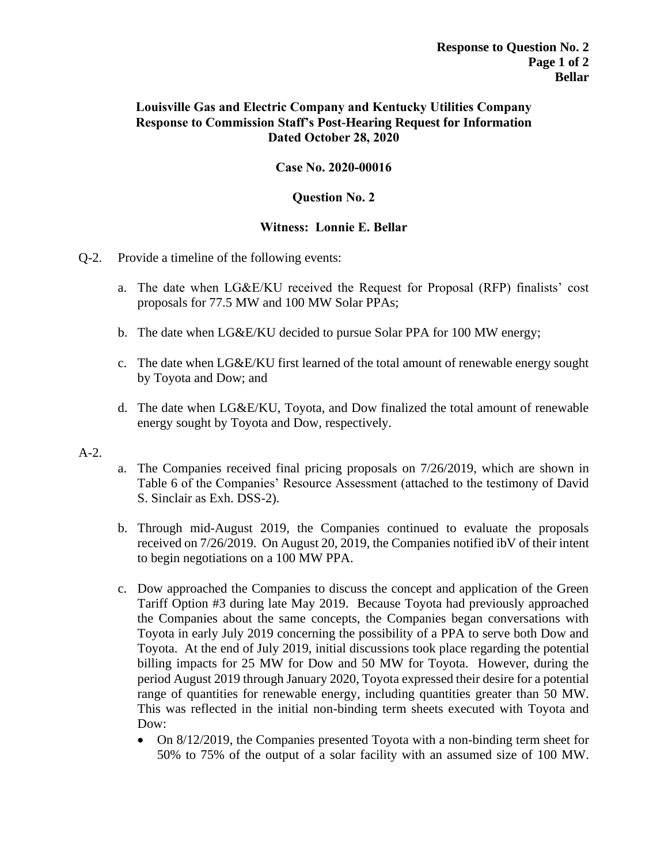# **Louisville Gas and Electric Company and Kentucky Utilities Company Response to Commission Staff's Post-Hearing Request for Information Dated October 28, 2020**

# **Case No. 2020-00016**

### **Question No. 2**

# **Witness: Lonnie E. Bellar**

# Q-2. Provide a timeline of the following events:

- a. The date when LG&E/KU received the Request for Proposal (RFP) finalists' cost proposals for 77.5 MW and 100 MW Solar PPAs;
- b. The date when LG&E/KU decided to pursue Solar PPA for 100 MW energy;
- c. The date when LG&E/KU first learned of the total amount of renewable energy sought by Toyota and Dow; and
- d. The date when LG&E/KU, Toyota, and Dow finalized the total amount of renewable energy sought by Toyota and Dow, respectively.
- A-2.
- a. The Companies received final pricing proposals on 7/26/2019, which are shown in Table 6 of the Companies' Resource Assessment (attached to the testimony of David S. Sinclair as Exh. DSS-2).
- b. Through mid-August 2019, the Companies continued to evaluate the proposals received on 7/26/2019. On August 20, 2019, the Companies notified ibV of their intent to begin negotiations on a 100 MW PPA.
- c. Dow approached the Companies to discuss the concept and application of the Green Tariff Option #3 during late May 2019. Because Toyota had previously approached the Companies about the same concepts, the Companies began conversations with Toyota in early July 2019 concerning the possibility of a PPA to serve both Dow and Toyota. At the end of July 2019, initial discussions took place regarding the potential billing impacts for 25 MW for Dow and 50 MW for Toyota. However, during the period August 2019 through January 2020, Toyota expressed their desire for a potential range of quantities for renewable energy, including quantities greater than 50 MW. This was reflected in the initial non-binding term sheets executed with Toyota and Dow:
	- On 8/12/2019, the Companies presented Toyota with a non-binding term sheet for 50% to 75% of the output of a solar facility with an assumed size of 100 MW.